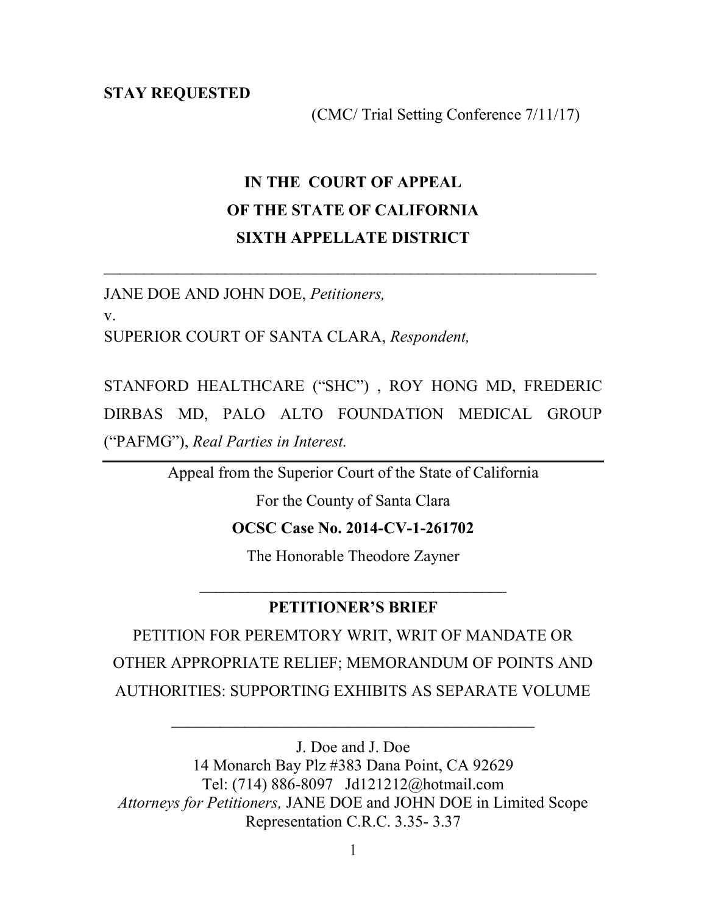STAY REQUESTED

(CMC/ Trial Setting Conference 7/11/17)

### IN THE COURT OF APPEAL OF THE STATE OF CALIFORNIA SIXTH APPELLATE DISTRICT

 $\mathcal{L}_\text{max}$  , and the contribution of the contribution of the contribution of the contribution of the contribution of the contribution of the contribution of the contribution of the contribution of the contribution of t

JANE DOE AND JOHN DOE, Petitioners,

v.

SUPERIOR COURT OF SANTA CLARA, Respondent,

STANFORD HEALTHCARE ("SHC") , ROY HONG MD, FREDERIC DIRBAS MD, PALO ALTO FOUNDATION MEDICAL GROUP ("PAFMG"), Real Parties in Interest.

Appeal from the Superior Court of the State of California

For the County of Santa Clara

OCSC Case No. 2014-CV-1-261702

The Honorable Theodore Zayner

 $\mathcal{L}_\text{max}$  , and the set of the set of the set of the set of the set of the set of the set of the set of the set of the set of the set of the set of the set of the set of the set of the set of the set of the set of the

#### PETITIONER'S BRIEF

PETITION FOR PEREMTORY WRIT, WRIT OF MANDATE OR OTHER APPROPRIATE RELIEF; MEMORANDUM OF POINTS AND AUTHORITIES: SUPPORTING EXHIBITS AS SEPARATE VOLUME

\_\_\_\_\_\_\_\_\_\_\_\_\_\_\_\_\_\_\_\_\_\_\_\_\_\_\_\_\_\_\_\_\_\_\_\_\_\_\_\_\_\_\_\_\_

J. Doe and J. Doe 14 Monarch Bay Plz #383 Dana Point, CA 92629 Tel: (714) 886-8097 Jd121212@hotmail.com Attorneys for Petitioners, JANE DOE and JOHN DOE in Limited Scope Representation C.R.C. 3.35- 3.37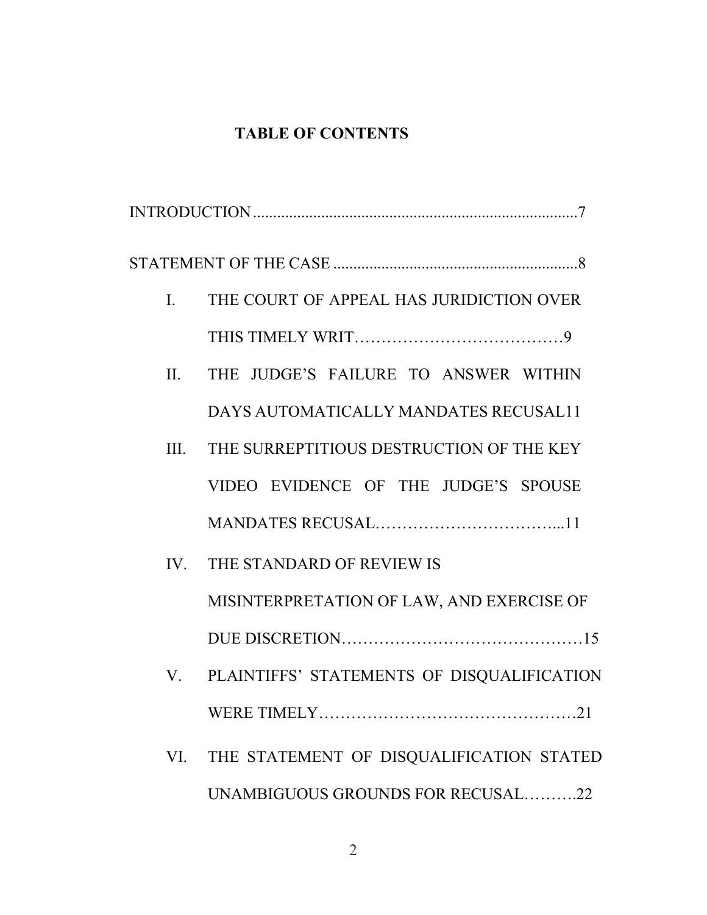### TABLE OF CONTENTS

| $\mathbf{I}$ . | THE COURT OF APPEAL HAS JURIDICTION OVER   |
|----------------|--------------------------------------------|
|                |                                            |
| II.            | THE JUDGE'S FAILURE TO ANSWER WITHIN       |
|                | DAYS AUTOMATICALLY MANDATES RECUSAL11      |
| III.           | THE SURREPTITIOUS DESTRUCTION OF THE KEY   |
|                | VIDEO EVIDENCE OF THE JUDGE'S SPOUSE       |
|                |                                            |
| IV.            | THE STANDARD OF REVIEW IS                  |
|                | MISINTERPRETATION OF LAW, AND EXERCISE OF  |
|                |                                            |
| $V_{\rm c}$    | PLAINTIFFS' STATEMENTS OF DISQUALIFICATION |
|                |                                            |
| VI.            | THE STATEMENT OF DISQUALIFICATION STATED   |
|                | UNAMBIGUOUS GROUNDS FOR RECUSAL22          |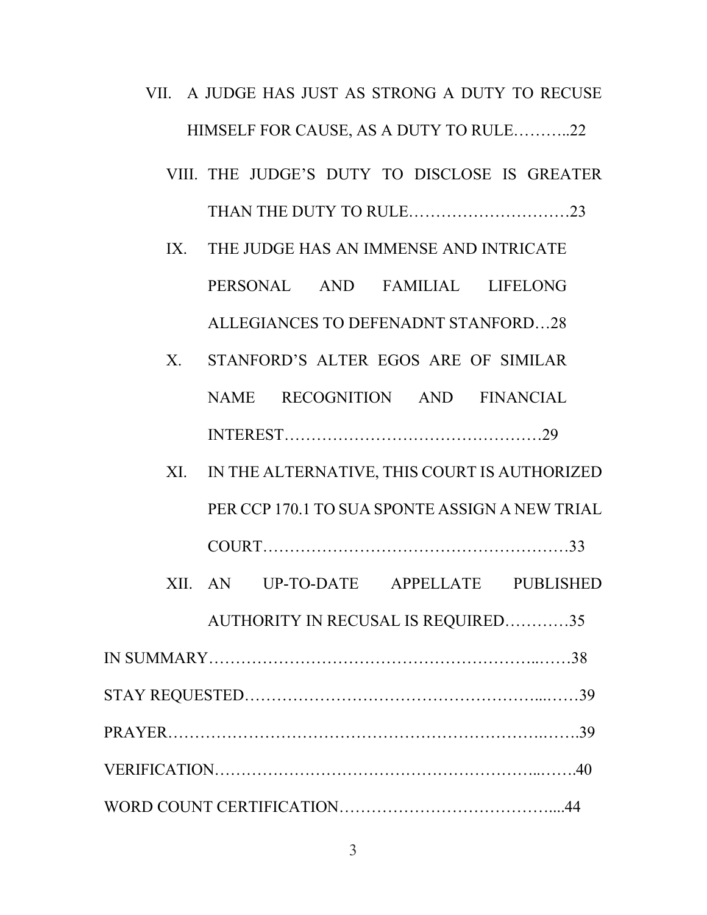- VII. A JUDGE HAS JUST AS STRONG A DUTY TO RECUSE HIMSELF FOR CAUSE, AS A DUTY TO RULE………..22
	- VIII. THE JUDGE'S DUTY TO DISCLOSE IS GREATER THAN THE DUTY TO RULE…………………………23
	- IX. THE JUDGE HAS AN IMMENSE AND INTRICATE PERSONAL AND FAMILIAL LIFELONG ALLEGIANCES TO DEFENADNT STANFORD…28
	- X. STANFORD'S ALTER EGOS ARE OF SIMILAR NAME RECOGNITION AND FINANCIAL INTEREST…………………………………………29
	- XI. IN THE ALTERNATIVE, THIS COURT IS AUTHORIZED PER CCP 170.1 TO SUA SPONTE ASSIGN A NEW TRIAL
		- COURT…………………………………………………33
	- XII. AN UP-TO-DATE APPELLATE PUBLISHED

AUTHORITY IN RECUSAL IS REQUIRED…………35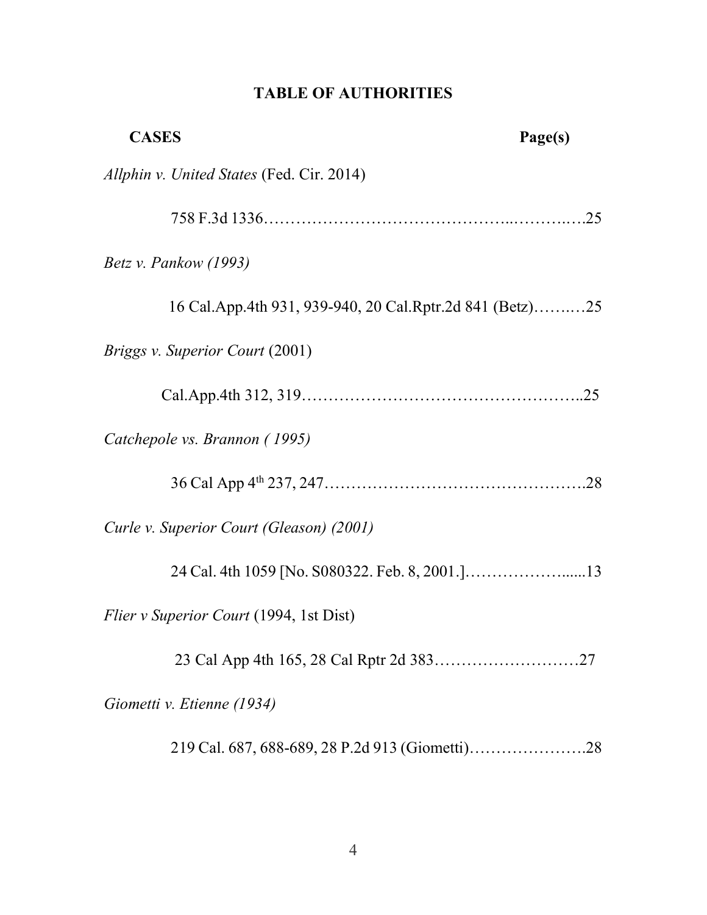### TABLE OF AUTHORITIES

| <b>CASES</b>                                             | Page(s) |
|----------------------------------------------------------|---------|
| Allphin v. United States (Fed. Cir. 2014)                |         |
|                                                          |         |
| <i>Betz v. Pankow (1993)</i>                             |         |
| 16 Cal.App.4th 931, 939-940, 20 Cal.Rptr.2d 841 (Betz)25 |         |
| <i>Briggs v. Superior Court (2001)</i>                   |         |
|                                                          |         |
| Catchepole vs. Brannon (1995)                            |         |
|                                                          |         |
| Curle v. Superior Court (Gleason) (2001)                 |         |
|                                                          |         |
| <i>Flier v Superior Court</i> (1994, 1st Dist)           |         |
|                                                          |         |
| Giometti v. Etienne (1934)                               |         |
|                                                          |         |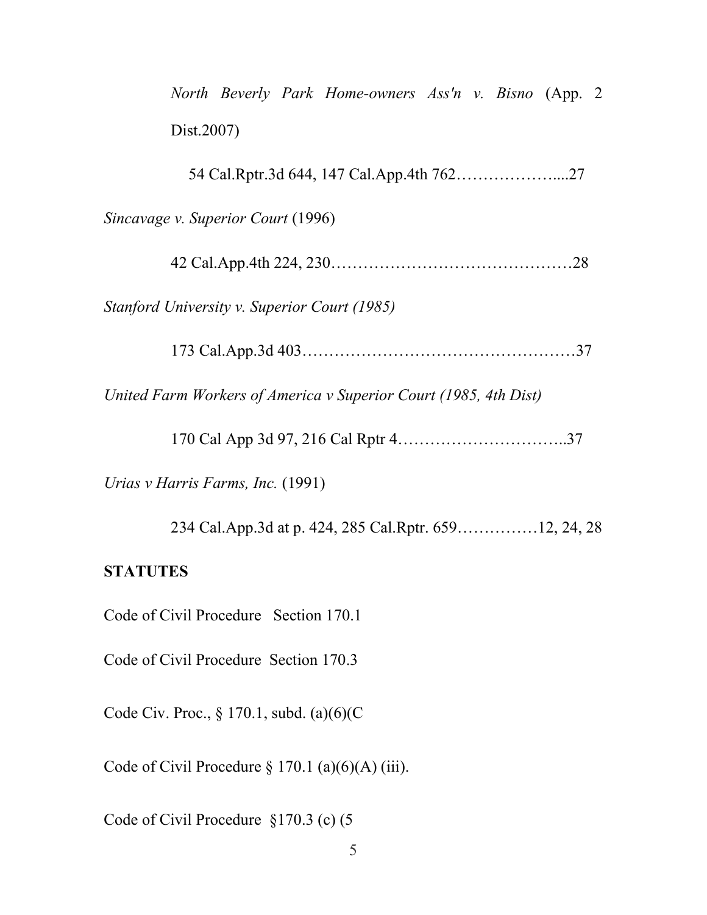| North Beverly Park Home-owners Ass'n v. Bisno (App. 2)           |
|------------------------------------------------------------------|
| Dist.2007)                                                       |
|                                                                  |
| Sincavage v. Superior Court (1996)                               |
|                                                                  |
| Stanford University v. Superior Court (1985)                     |
|                                                                  |
| United Farm Workers of America v Superior Court (1985, 4th Dist) |
|                                                                  |
| Urias v Harris Farms, Inc. (1991)                                |
| 234 Cal.App.3d at p. 424, 285 Cal.Rptr. 65912, 24, 28            |
| <b>STATUTES</b>                                                  |
| Code of Civil Procedure Section 170.1                            |
| Code of Civil Procedure Section 170.3                            |
| Code Civ. Proc., § 170.1, subd. (a)(6)(C                         |

Code of Civil Procedure  $\S 170.1$  (a)(6)(A) (iii).

Code of Civil Procedure §170.3 (c) (5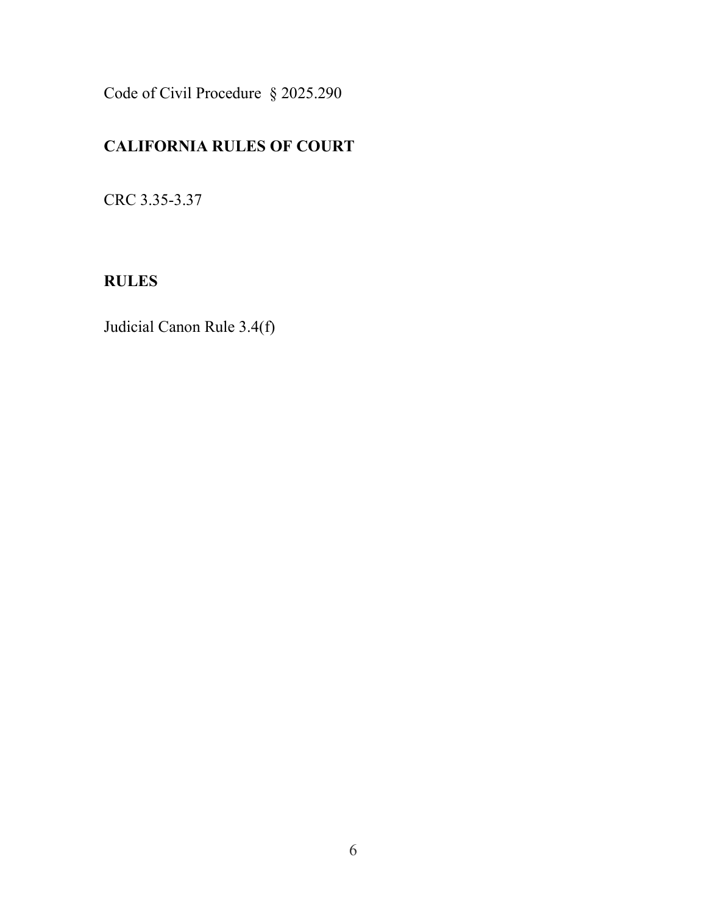Code of Civil Procedure § 2025.290

### CALIFORNIA RULES OF COURT

CRC 3.35-3.37

### RULES

Judicial Canon Rule 3.4(f)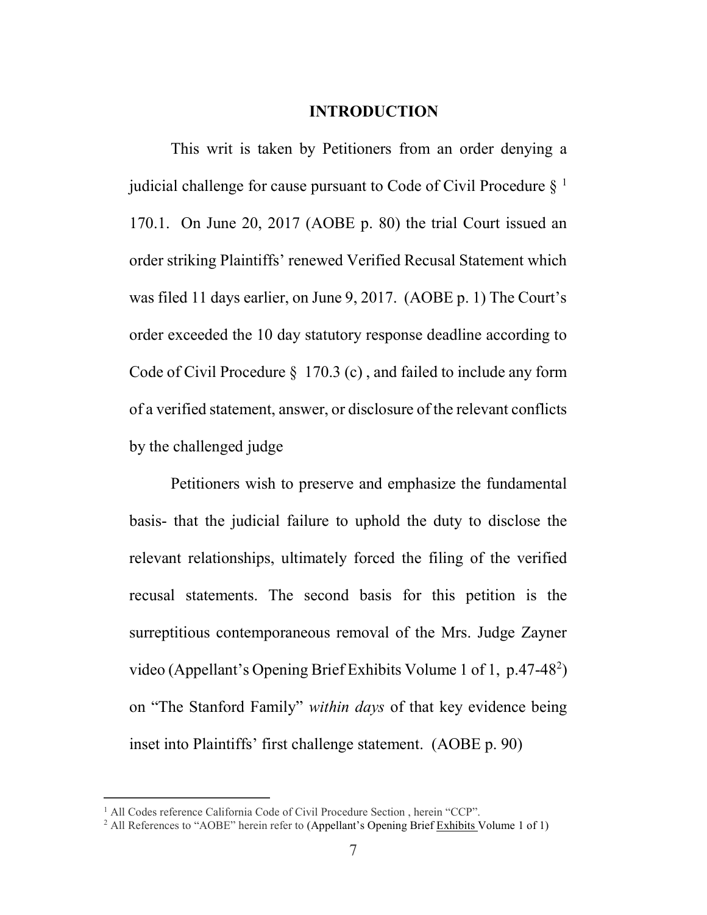#### INTRODUCTION

This writ is taken by Petitioners from an order denying a judicial challenge for cause pursuant to Code of Civil Procedure  $\S^1$ 170.1. On June 20, 2017 (AOBE p. 80) the trial Court issued an order striking Plaintiffs' renewed Verified Recusal Statement which was filed 11 days earlier, on June 9, 2017. (AOBE p. 1) The Court's order exceeded the 10 day statutory response deadline according to Code of Civil Procedure § 170.3 (c) , and failed to include any form of a verified statement, answer, or disclosure of the relevant conflicts by the challenged judge

Petitioners wish to preserve and emphasize the fundamental basis- that the judicial failure to uphold the duty to disclose the relevant relationships, ultimately forced the filing of the verified recusal statements. The second basis for this petition is the surreptitious contemporaneous removal of the Mrs. Judge Zayner video (Appellant's Opening Brief Exhibits Volume 1 of 1, p.47-48<sup>2</sup>) on "The Stanford Family" within days of that key evidence being inset into Plaintiffs' first challenge statement. (AOBE p. 90)

 $\overline{a}$ 

<sup>&</sup>lt;sup>1</sup> All Codes reference California Code of Civil Procedure Section, herein "CCP".

<sup>&</sup>lt;sup>2</sup> All References to "AOBE" herein refer to (Appellant's Opening Brief Exhibits Volume 1 of 1)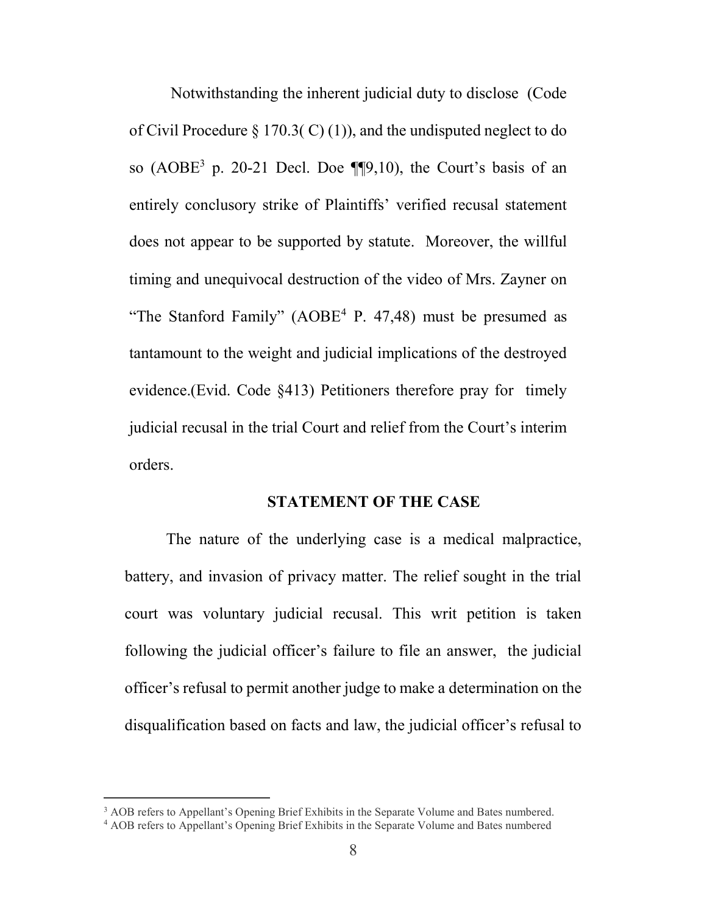Notwithstanding the inherent judicial duty to disclose (Code of Civil Procedure  $\S 170.3(C(1))$ , and the undisputed neglect to do so  $(AOBE<sup>3</sup>$  p. 20-21 Decl. Doe  $\P\P9,10$ , the Court's basis of an entirely conclusory strike of Plaintiffs' verified recusal statement does not appear to be supported by statute. Moreover, the willful timing and unequivocal destruction of the video of Mrs. Zayner on "The Stanford Family"  $(AOBE<sup>4</sup> P. 47,48)$  must be presumed as tantamount to the weight and judicial implications of the destroyed evidence.(Evid. Code §413) Petitioners therefore pray for timely judicial recusal in the trial Court and relief from the Court's interim orders.

#### STATEMENT OF THE CASE

The nature of the underlying case is a medical malpractice, battery, and invasion of privacy matter. The relief sought in the trial court was voluntary judicial recusal. This writ petition is taken following the judicial officer's failure to file an answer, the judicial officer's refusal to permit another judge to make a determination on the disqualification based on facts and law, the judicial officer's refusal to

<sup>&</sup>lt;sup>3</sup> AOB refers to Appellant's Opening Brief Exhibits in the Separate Volume and Bates numbered.

<sup>4</sup> AOB refers to Appellant's Opening Brief Exhibits in the Separate Volume and Bates numbered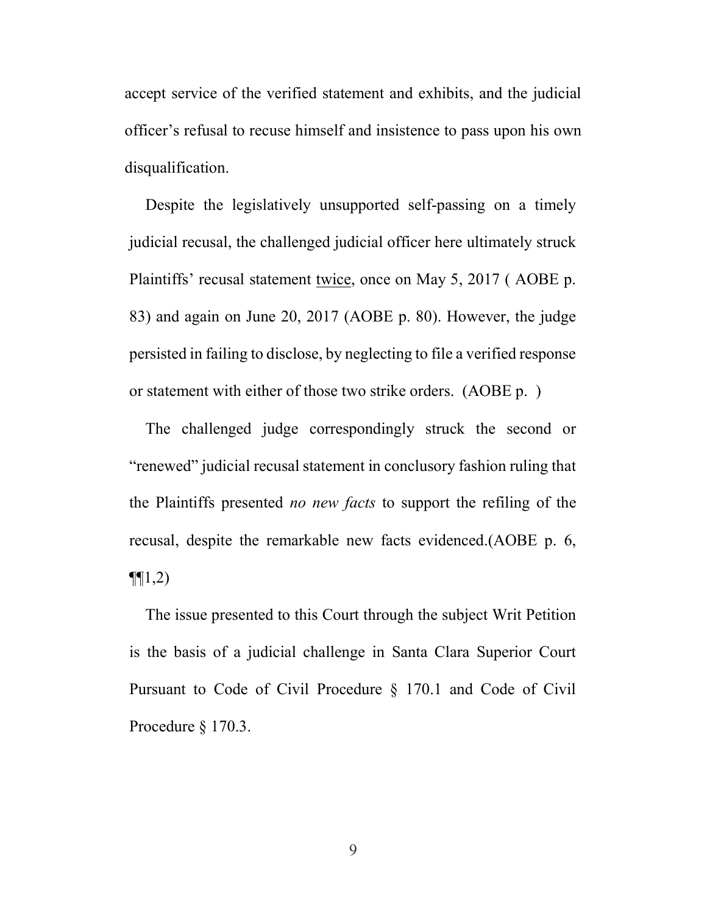accept service of the verified statement and exhibits, and the judicial officer's refusal to recuse himself and insistence to pass upon his own disqualification.

Despite the legislatively unsupported self-passing on a timely judicial recusal, the challenged judicial officer here ultimately struck Plaintiffs' recusal statement twice, once on May 5, 2017 ( AOBE p. 83) and again on June 20, 2017 (AOBE p. 80). However, the judge persisted in failing to disclose, by neglecting to file a verified response or statement with either of those two strike orders. (AOBE p. )

The challenged judge correspondingly struck the second or "renewed" judicial recusal statement in conclusory fashion ruling that the Plaintiffs presented no new facts to support the refiling of the recusal, despite the remarkable new facts evidenced.(AOBE p. 6,  $\P(1,2)$ 

The issue presented to this Court through the subject Writ Petition is the basis of a judicial challenge in Santa Clara Superior Court Pursuant to Code of Civil Procedure § 170.1 and Code of Civil Procedure § 170.3.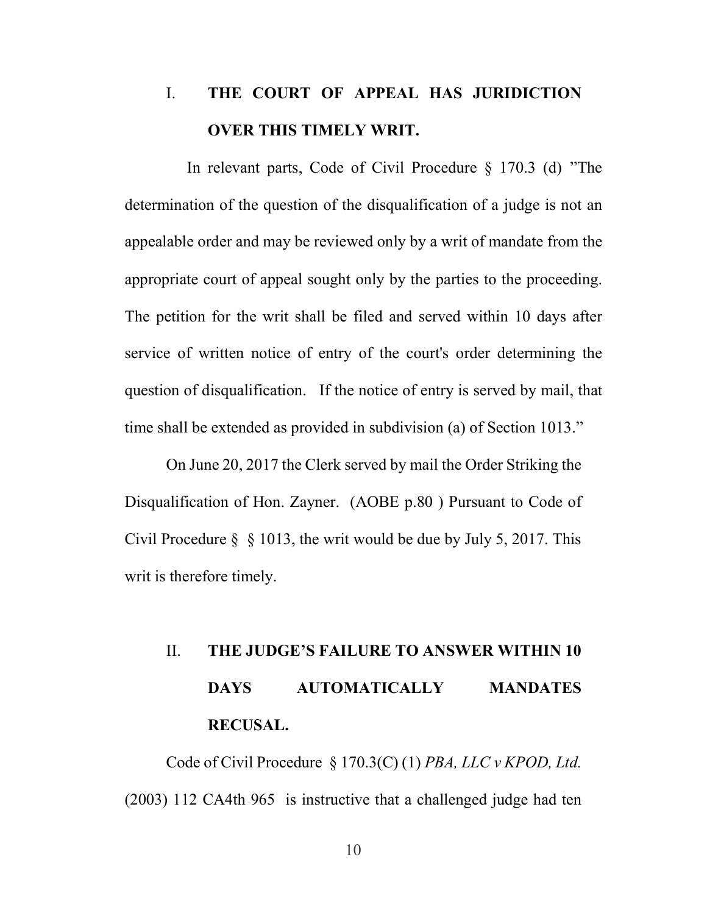### I. THE COURT OF APPEAL HAS JURIDICTION OVER THIS TIMELY WRIT.

 In relevant parts, Code of Civil Procedure § 170.3 (d) "The determination of the question of the disqualification of a judge is not an appealable order and may be reviewed only by a writ of mandate from the appropriate court of appeal sought only by the parties to the proceeding. The petition for the writ shall be filed and served within 10 days after service of written notice of entry of the court's order determining the question of disqualification. If the notice of entry is served by mail, that time shall be extended as provided in subdivision (a) of Section 1013."

On June 20, 2017 the Clerk served by mail the Order Striking the Disqualification of Hon. Zayner. (AOBE p.80 ) Pursuant to Code of Civil Procedure § § 1013, the writ would be due by July 5, 2017. This writ is therefore timely.

# II. THE JUDGE'S FAILURE TO ANSWER WITHIN 10 DAYS AUTOMATICALLY MANDATES RECUSAL.

Code of Civil Procedure § 170.3(C) (1) PBA, LLC v KPOD, Ltd. (2003) 112 CA4th 965 is instructive that a challenged judge had ten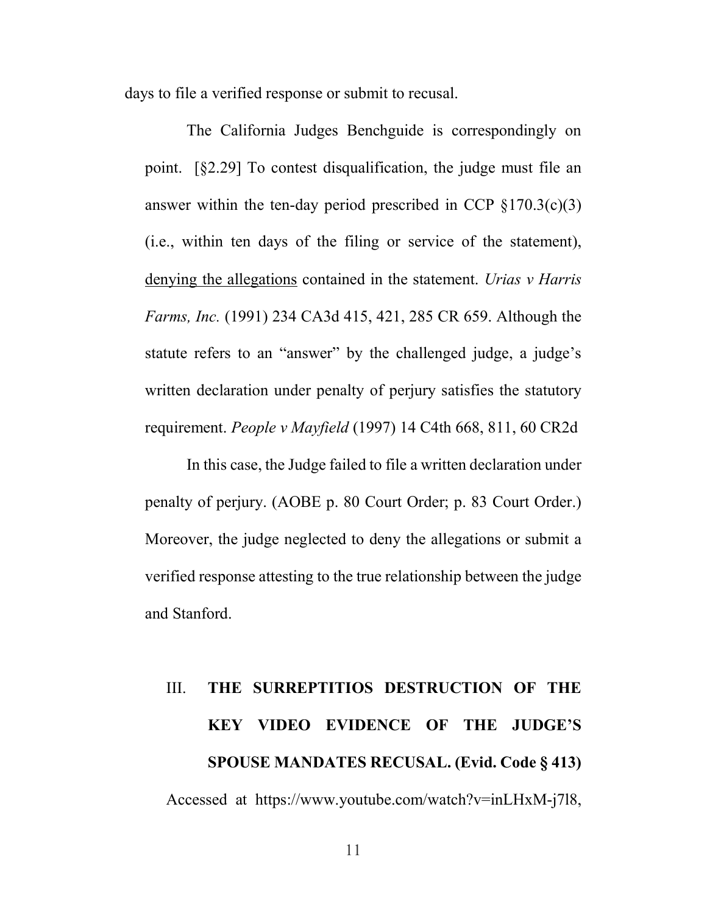days to file a verified response or submit to recusal.

The California Judges Benchguide is correspondingly on point. [§2.29] To contest disqualification, the judge must file an answer within the ten-day period prescribed in CCP  $\S 170.3(c)(3)$ (i.e., within ten days of the filing or service of the statement), denying the allegations contained in the statement. Urias v Harris Farms, Inc. (1991) 234 CA3d 415, 421, 285 CR 659. Although the statute refers to an "answer" by the challenged judge, a judge's written declaration under penalty of perjury satisfies the statutory requirement. People v Mayfield (1997) 14 C4th 668, 811, 60 CR2d

In this case, the Judge failed to file a written declaration under penalty of perjury. (AOBE p. 80 Court Order; p. 83 Court Order.) Moreover, the judge neglected to deny the allegations or submit a verified response attesting to the true relationship between the judge and Stanford.

# III. THE SURREPTITIOS DESTRUCTION OF THE KEY VIDEO EVIDENCE OF THE JUDGE'S SPOUSE MANDATES RECUSAL. (Evid. Code § 413) Accessed at https://www.youtube.com/watch?v=inLHxM-j7l8,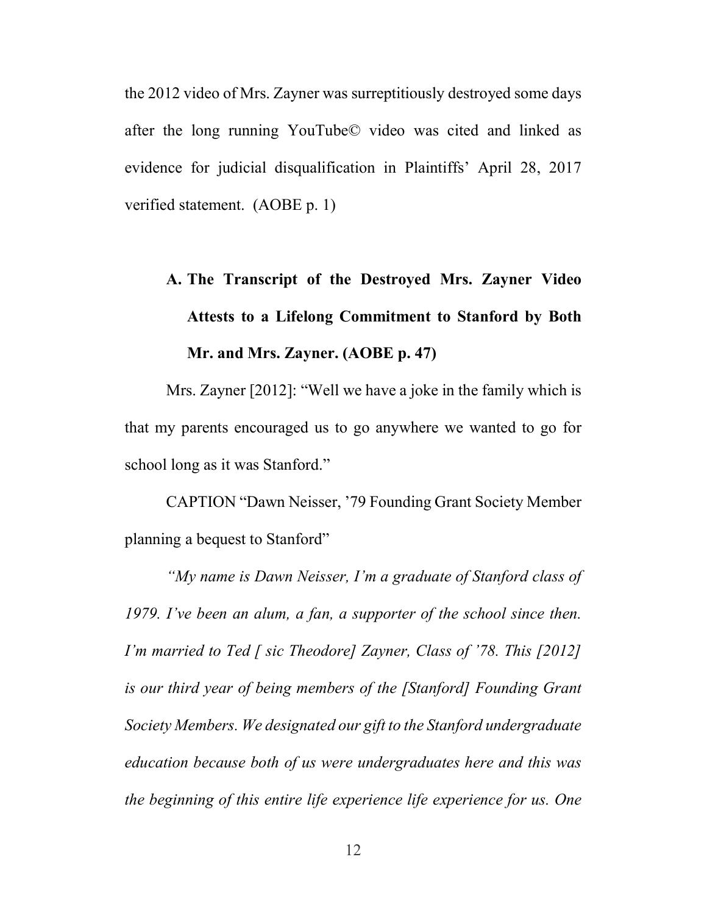the 2012 video of Mrs. Zayner was surreptitiously destroyed some days after the long running YouTube© video was cited and linked as evidence for judicial disqualification in Plaintiffs' April 28, 2017 verified statement. (AOBE p. 1)

## A. The Transcript of the Destroyed Mrs. Zayner Video Attests to a Lifelong Commitment to Stanford by Both Mr. and Mrs. Zayner. (AOBE p. 47)

Mrs. Zayner [2012]: "Well we have a joke in the family which is that my parents encouraged us to go anywhere we wanted to go for school long as it was Stanford."

CAPTION "Dawn Neisser, '79 Founding Grant Society Member planning a bequest to Stanford"

"My name is Dawn Neisser, I'm a graduate of Stanford class of 1979. I've been an alum, a fan, a supporter of the school since then. I'm married to Ted [ sic Theodore] Zayner, Class of '78. This  $[2012]$ is our third year of being members of the [Stanford] Founding Grant Society Members. We designated our gift to the Stanford undergraduate education because both of us were undergraduates here and this was the beginning of this entire life experience life experience for us. One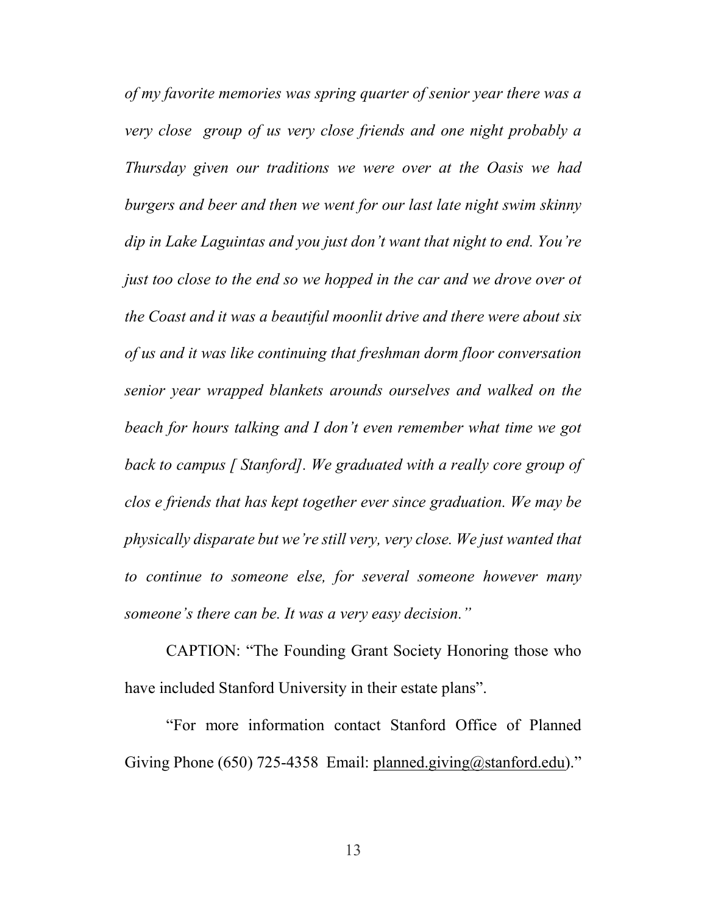of my favorite memories was spring quarter of senior year there was a very close group of us very close friends and one night probably a Thursday given our traditions we were over at the Oasis we had burgers and beer and then we went for our last late night swim skinny dip in Lake Laguintas and you just don't want that night to end. You're just too close to the end so we hopped in the car and we drove over ot the Coast and it was a beautiful moonlit drive and there were about six of us and it was like continuing that freshman dorm floor conversation senior year wrapped blankets arounds ourselves and walked on the beach for hours talking and I don't even remember what time we got back to campus [ Stanford]. We graduated with a really core group of clos e friends that has kept together ever since graduation. We may be physically disparate but we're still very, very close. We just wanted that to continue to someone else, for several someone however many someone's there can be. It was a very easy decision."

CAPTION: "The Founding Grant Society Honoring those who have included Stanford University in their estate plans".

"For more information contact Stanford Office of Planned Giving Phone (650) 725-4358 Email: planned.giving@stanford.edu)."

13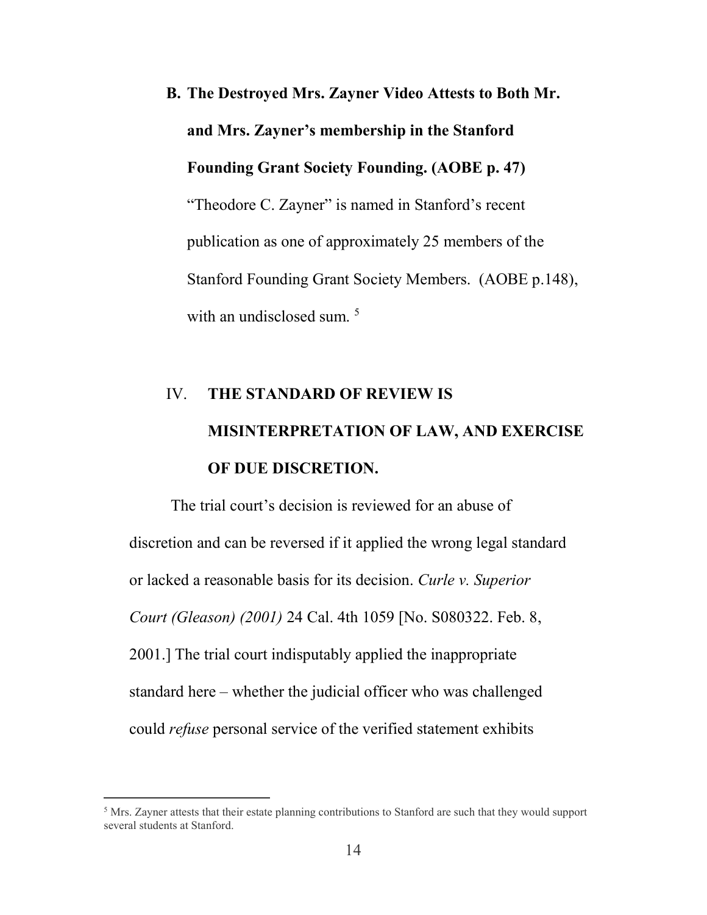B. The Destroyed Mrs. Zayner Video Attests to Both Mr. and Mrs. Zayner's membership in the Stanford Founding Grant Society Founding. (AOBE p. 47) "Theodore C. Zayner" is named in Stanford's recent publication as one of approximately 25 members of the Stanford Founding Grant Society Members. (AOBE p.148), with an undisclosed sum.<sup>5</sup>

# IV. THE STANDARD OF REVIEW IS MISINTERPRETATION OF LAW, AND EXERCISE OF DUE DISCRETION.

The trial court's decision is reviewed for an abuse of discretion and can be reversed if it applied the wrong legal standard or lacked a reasonable basis for its decision. Curle v. Superior Court (Gleason) (2001) 24 Cal. 4th 1059 [No. S080322. Feb. 8, 2001.] The trial court indisputably applied the inappropriate standard here – whether the judicial officer who was challenged could refuse personal service of the verified statement exhibits

 $\overline{a}$ 

 $<sup>5</sup>$  Mrs. Zayner attests that their estate planning contributions to Stanford are such that they would support</sup> several students at Stanford.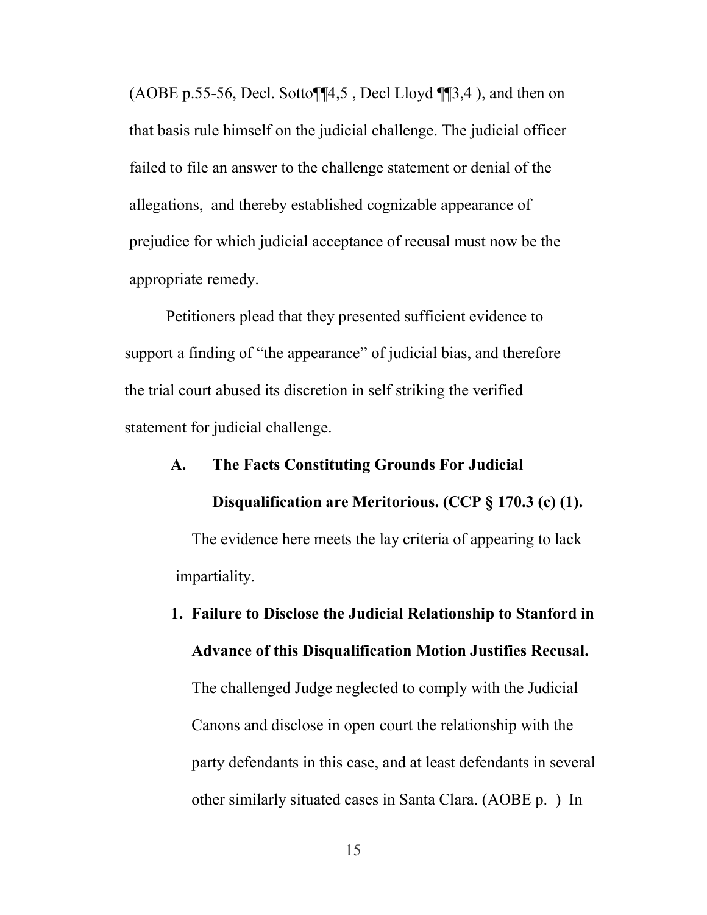(AOBE p.55-56, Decl. Sotto $\P$  $4,5$ , Decl Lloyd  $\P$  $3,4$ ), and then on that basis rule himself on the judicial challenge. The judicial officer failed to file an answer to the challenge statement or denial of the allegations, and thereby established cognizable appearance of prejudice for which judicial acceptance of recusal must now be the appropriate remedy.

Petitioners plead that they presented sufficient evidence to support a finding of "the appearance" of judicial bias, and therefore the trial court abused its discretion in self striking the verified statement for judicial challenge.

#### A. The Facts Constituting Grounds For Judicial

#### Disqualification are Meritorious. (CCP § 170.3 (c) (1).

The evidence here meets the lay criteria of appearing to lack impartiality.

1. Failure to Disclose the Judicial Relationship to Stanford in Advance of this Disqualification Motion Justifies Recusal. The challenged Judge neglected to comply with the Judicial Canons and disclose in open court the relationship with the party defendants in this case, and at least defendants in several other similarly situated cases in Santa Clara. (AOBE p. ) In

15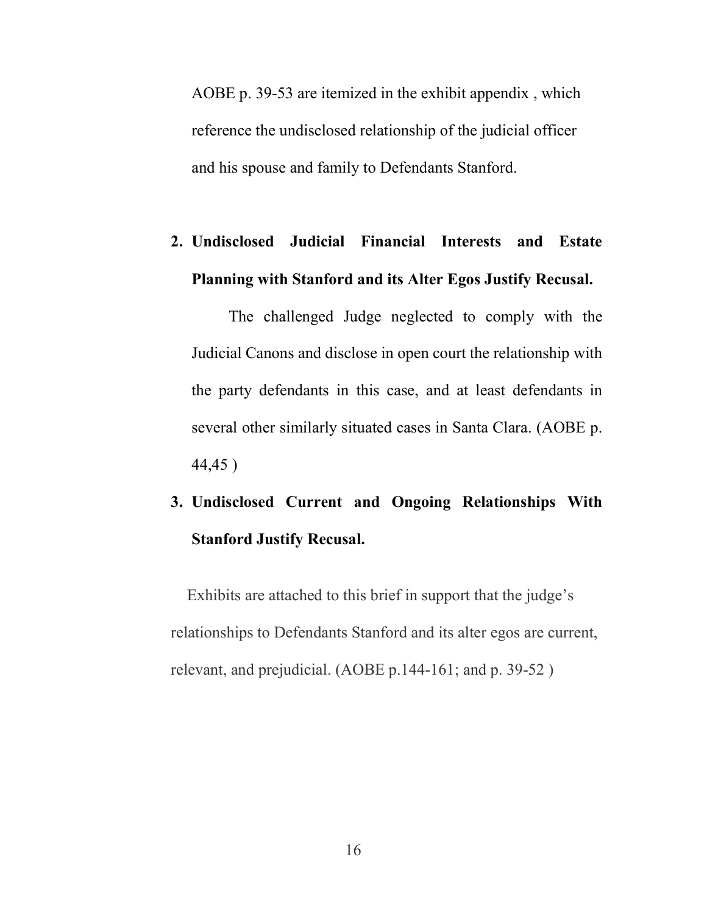AOBE p. 39-53 are itemized in the exhibit appendix , which reference the undisclosed relationship of the judicial officer and his spouse and family to Defendants Stanford.

## 2. Undisclosed Judicial Financial Interests and Estate Planning with Stanford and its Alter Egos Justify Recusal.

The challenged Judge neglected to comply with the Judicial Canons and disclose in open court the relationship with the party defendants in this case, and at least defendants in several other similarly situated cases in Santa Clara. (AOBE p. 44,45 )

## 3. Undisclosed Current and Ongoing Relationships With Stanford Justify Recusal.

Exhibits are attached to this brief in support that the judge's relationships to Defendants Stanford and its alter egos are current, relevant, and prejudicial. (AOBE p.144-161; and p. 39-52 )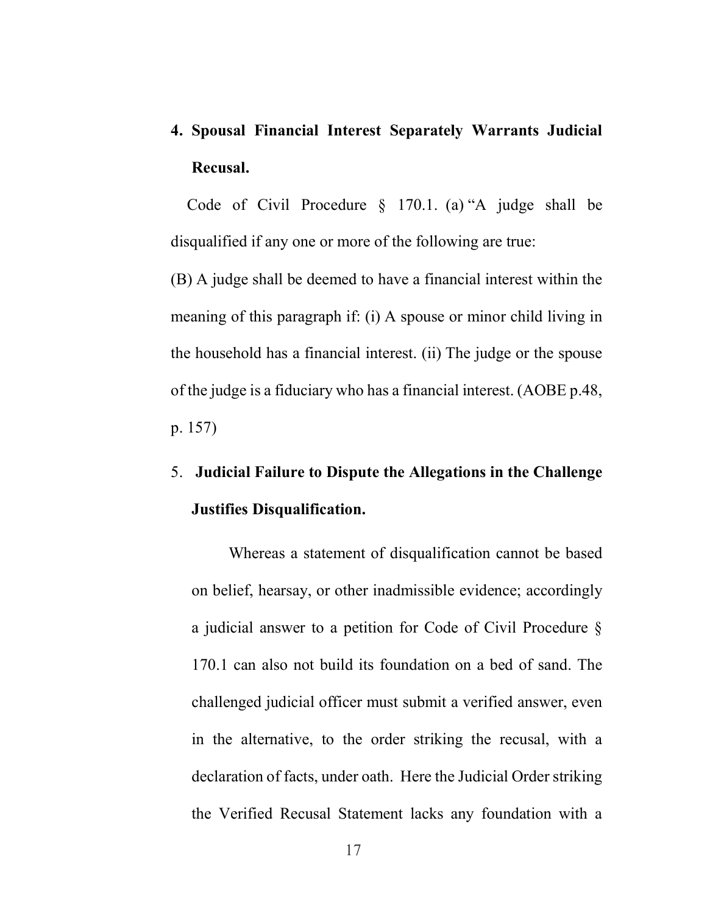4. Spousal Financial Interest Separately Warrants Judicial Recusal.

Code of Civil Procedure § 170.1. (a) "A judge shall be disqualified if any one or more of the following are true:

(B) A judge shall be deemed to have a financial interest within the meaning of this paragraph if: (i) A spouse or minor child living in the household has a financial interest. (ii) The judge or the spouse of the judge is a fiduciary who has a financial interest. (AOBE p.48, p. 157)

## 5. Judicial Failure to Dispute the Allegations in the Challenge Justifies Disqualification.

Whereas a statement of disqualification cannot be based on belief, hearsay, or other inadmissible evidence; accordingly a judicial answer to a petition for Code of Civil Procedure § 170.1 can also not build its foundation on a bed of sand. The challenged judicial officer must submit a verified answer, even in the alternative, to the order striking the recusal, with a declaration of facts, under oath. Here the Judicial Order striking the Verified Recusal Statement lacks any foundation with a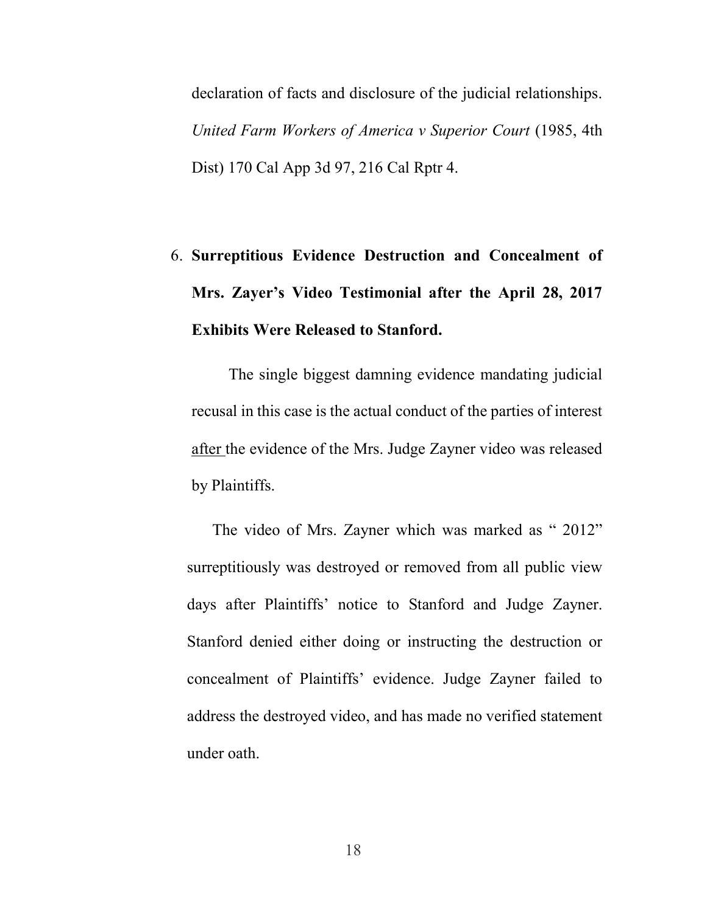declaration of facts and disclosure of the judicial relationships. United Farm Workers of America v Superior Court (1985, 4th Dist) 170 Cal App 3d 97, 216 Cal Rptr 4.

# 6. Surreptitious Evidence Destruction and Concealment of Mrs. Zayer's Video Testimonial after the April 28, 2017 Exhibits Were Released to Stanford.

The single biggest damning evidence mandating judicial recusal in this case is the actual conduct of the parties of interest after the evidence of the Mrs. Judge Zayner video was released by Plaintiffs.

The video of Mrs. Zayner which was marked as " 2012" surreptitiously was destroyed or removed from all public view days after Plaintiffs' notice to Stanford and Judge Zayner. Stanford denied either doing or instructing the destruction or concealment of Plaintiffs' evidence. Judge Zayner failed to address the destroyed video, and has made no verified statement under oath.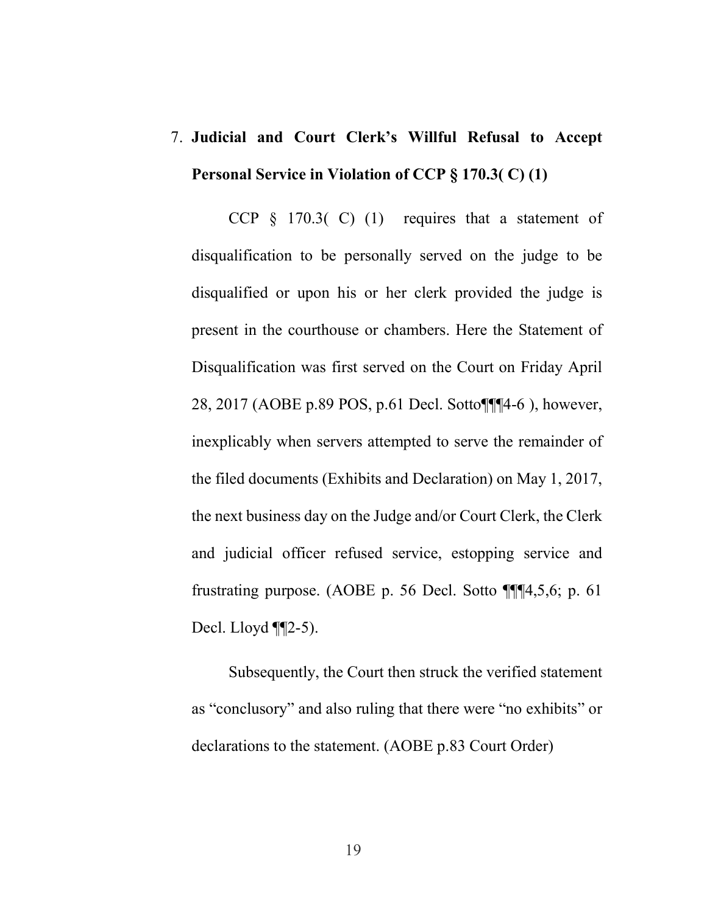## 7. Judicial and Court Clerk's Willful Refusal to Accept Personal Service in Violation of CCP § 170.3( C) (1)

CCP § 170.3( C) (1) requires that a statement of disqualification to be personally served on the judge to be disqualified or upon his or her clerk provided the judge is present in the courthouse or chambers. Here the Statement of Disqualification was first served on the Court on Friday April 28, 2017 (AOBE p.89 POS, p.61 Decl. Sotto¶¶¶4-6 ), however, inexplicably when servers attempted to serve the remainder of the filed documents (Exhibits and Declaration) on May 1, 2017, the next business day on the Judge and/or Court Clerk, the Clerk and judicial officer refused service, estopping service and frustrating purpose. (AOBE p. 56 Decl. Sotto ¶¶¶4,5,6; p. 61 Decl. Lloyd ¶¶2-5).

Subsequently, the Court then struck the verified statement as "conclusory" and also ruling that there were "no exhibits" or declarations to the statement. (AOBE p.83 Court Order)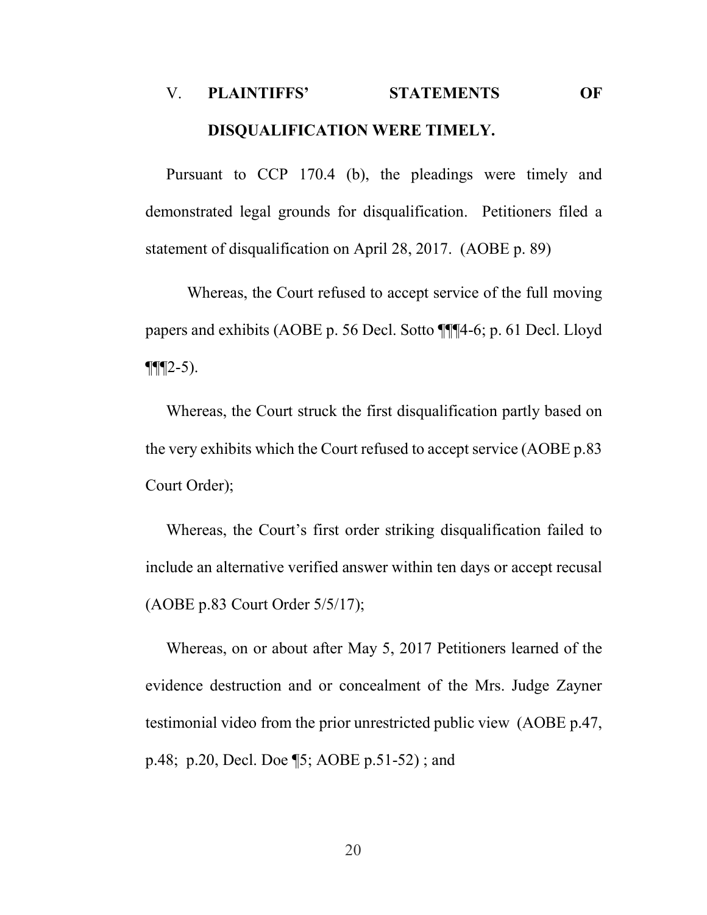## V. PLAINTIFFS' STATEMENTS OF DISQUALIFICATION WERE TIMELY.

Pursuant to CCP 170.4 (b), the pleadings were timely and demonstrated legal grounds for disqualification. Petitioners filed a statement of disqualification on April 28, 2017. (AOBE p. 89)

Whereas, the Court refused to accept service of the full moving papers and exhibits (AOBE p. 56 Decl. Sotto ¶¶¶4-6; p. 61 Decl. Lloyd  $\P\P(2-5)$ .

Whereas, the Court struck the first disqualification partly based on the very exhibits which the Court refused to accept service (AOBE p.83 Court Order);

Whereas, the Court's first order striking disqualification failed to include an alternative verified answer within ten days or accept recusal (AOBE p.83 Court Order 5/5/17);

Whereas, on or about after May 5, 2017 Petitioners learned of the evidence destruction and or concealment of the Mrs. Judge Zayner testimonial video from the prior unrestricted public view (AOBE p.47, p.48; p.20, Decl. Doe ¶5; AOBE p.51-52) ; and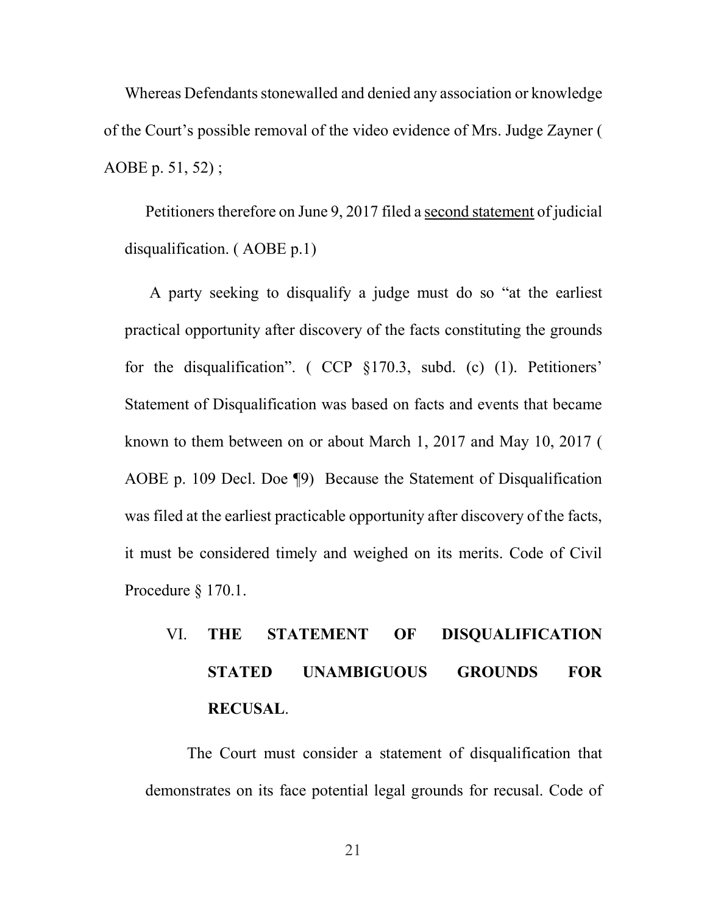Whereas Defendants stonewalled and denied any association or knowledge of the Court's possible removal of the video evidence of Mrs. Judge Zayner ( AOBE p. 51, 52) ;

Petitioners therefore on June 9, 2017 filed a second statement of judicial disqualification. ( AOBE p.1)

 A party seeking to disqualify a judge must do so "at the earliest practical opportunity after discovery of the facts constituting the grounds for the disqualification". ( CCP §170.3, subd. (c) (1). Petitioners' Statement of Disqualification was based on facts and events that became known to them between on or about March 1, 2017 and May 10, 2017 ( AOBE p. 109 Decl. Doe ¶9) Because the Statement of Disqualification was filed at the earliest practicable opportunity after discovery of the facts, it must be considered timely and weighed on its merits. Code of Civil Procedure § 170.1.

# VI. THE STATEMENT OF DISQUALIFICATION STATED UNAMBIGUOUS GROUNDS FOR RECUSAL.

 The Court must consider a statement of disqualification that demonstrates on its face potential legal grounds for recusal. Code of

21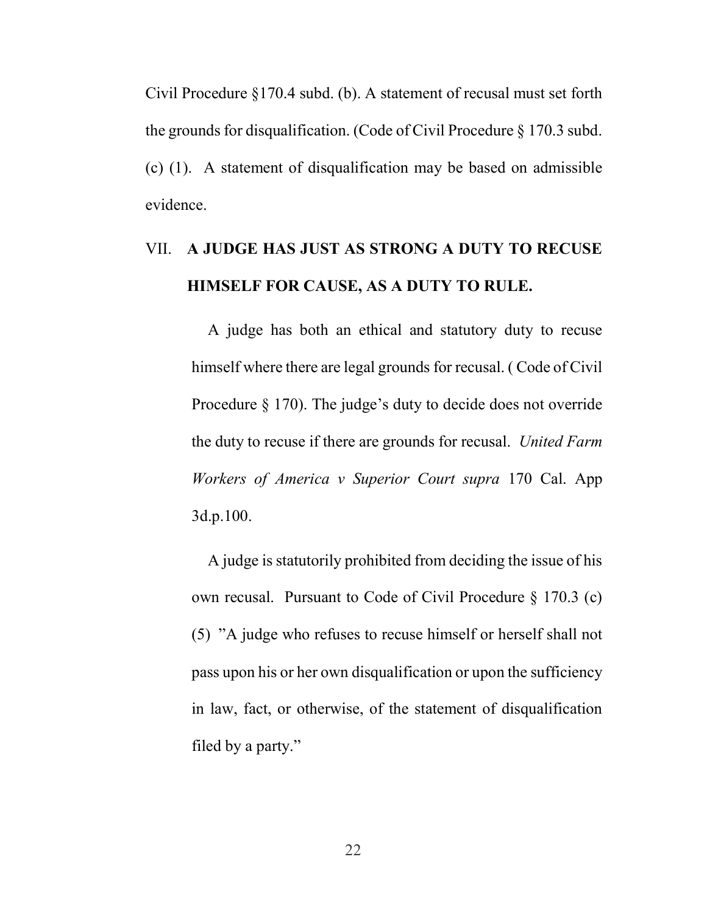Civil Procedure §170.4 subd. (b). A statement of recusal must set forth the grounds for disqualification. (Code of Civil Procedure § 170.3 subd. (c) (1). A statement of disqualification may be based on admissible evidence.

### VII. A JUDGE HAS JUST AS STRONG A DUTY TO RECUSE HIMSELF FOR CAUSE, AS A DUTY TO RULE.

A judge has both an ethical and statutory duty to recuse himself where there are legal grounds for recusal. ( Code of Civil Procedure § 170). The judge's duty to decide does not override the duty to recuse if there are grounds for recusal. United Farm Workers of America v Superior Court supra 170 Cal. App 3d.p.100.

A judge is statutorily prohibited from deciding the issue of his own recusal. Pursuant to Code of Civil Procedure § 170.3 (c) (5) "A judge who refuses to recuse himself or herself shall not pass upon his or her own disqualification or upon the sufficiency in law, fact, or otherwise, of the statement of disqualification filed by a party."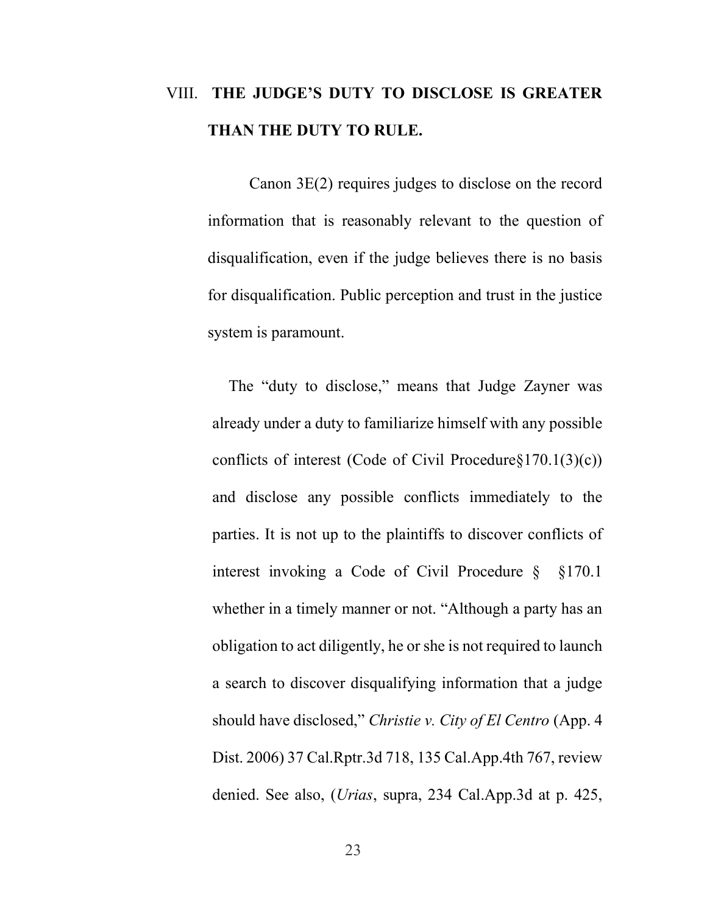### VIII. THE JUDGE'S DUTY TO DISCLOSE IS GREATER THAN THE DUTY TO RULE.

Canon 3E(2) requires judges to disclose on the record information that is reasonably relevant to the question of disqualification, even if the judge believes there is no basis for disqualification. Public perception and trust in the justice system is paramount.

The "duty to disclose," means that Judge Zayner was already under a duty to familiarize himself with any possible conflicts of interest (Code of Civil Procedure§170.1(3)(c)) and disclose any possible conflicts immediately to the parties. It is not up to the plaintiffs to discover conflicts of interest invoking a Code of Civil Procedure § §170.1 whether in a timely manner or not. "Although a party has an obligation to act diligently, he or she is not required to launch a search to discover disqualifying information that a judge should have disclosed," Christie v. City of El Centro (App. 4) Dist. 2006) 37 Cal.Rptr.3d 718, 135 Cal.App.4th 767, review denied. See also, (Urias, supra, 234 Cal.App.3d at p. 425,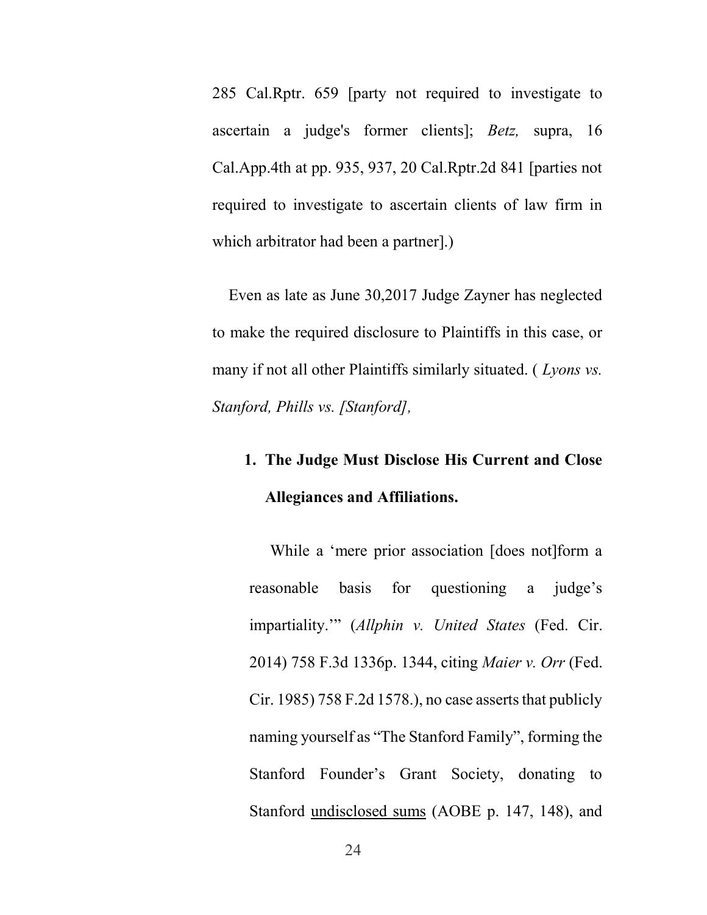285 Cal.Rptr. 659 [party not required to investigate to ascertain a judge's former clients]; Betz, supra, 16 Cal.App.4th at pp. 935, 937, 20 Cal.Rptr.2d 841 [parties not required to investigate to ascertain clients of law firm in which arbitrator had been a partner].)

Even as late as June 30,2017 Judge Zayner has neglected to make the required disclosure to Plaintiffs in this case, or many if not all other Plaintiffs similarly situated. (*Lyons vs.* Stanford, Phills vs. [Stanford],

## 1. The Judge Must Disclose His Current and Close Allegiances and Affiliations.

While a 'mere prior association [does not]form a reasonable basis for questioning a judge's impartiality."" (Allphin v. United States (Fed. Cir. 2014) 758 F.3d 1336p. 1344, citing Maier v. Orr (Fed. Cir. 1985) 758 F.2d 1578.), no case asserts that publicly naming yourself as "The Stanford Family", forming the Stanford Founder's Grant Society, donating to Stanford undisclosed sums (AOBE p. 147, 148), and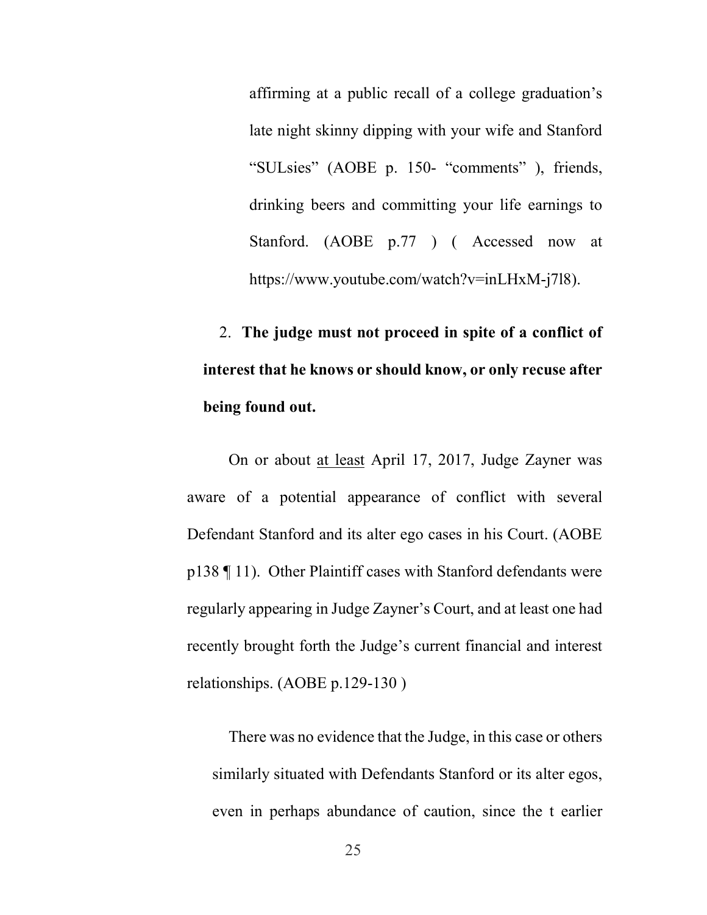affirming at a public recall of a college graduation's late night skinny dipping with your wife and Stanford "SULsies" (AOBE p. 150- "comments" ), friends, drinking beers and committing your life earnings to Stanford. (AOBE p.77 ) ( Accessed now at https://www.youtube.com/watch?v=inLHxM-j7l8).

2. The judge must not proceed in spite of a conflict of interest that he knows or should know, or only recuse after being found out.

On or about at least April 17, 2017, Judge Zayner was aware of a potential appearance of conflict with several Defendant Stanford and its alter ego cases in his Court. (AOBE p138 ¶ 11). Other Plaintiff cases with Stanford defendants were regularly appearing in Judge Zayner's Court, and at least one had recently brought forth the Judge's current financial and interest relationships. (AOBE p.129-130 )

There was no evidence that the Judge, in this case or others similarly situated with Defendants Stanford or its alter egos, even in perhaps abundance of caution, since the t earlier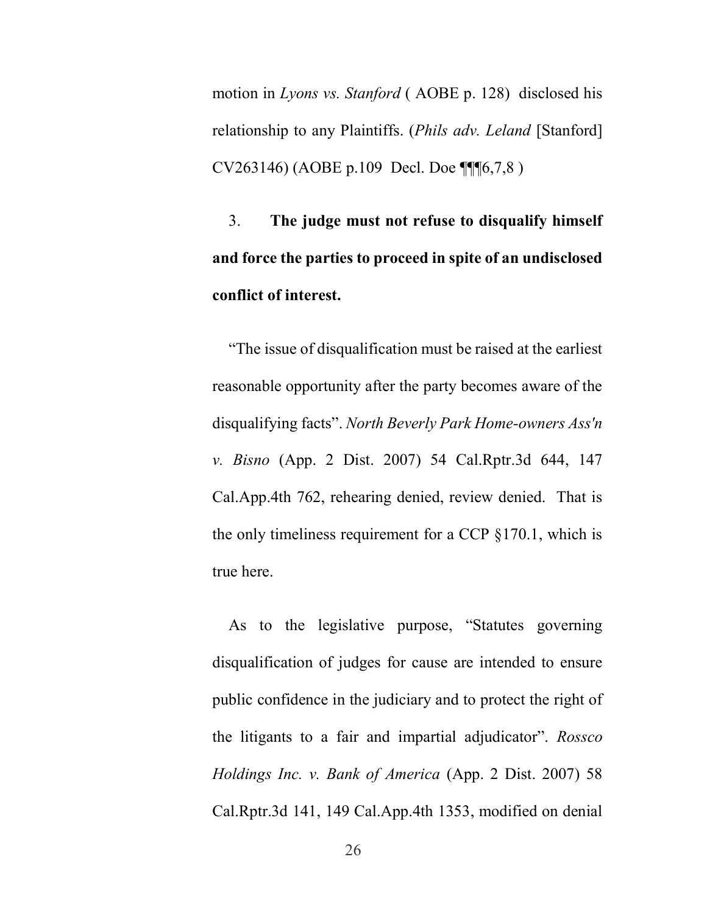motion in Lyons vs. Stanford ( AOBE p. 128) disclosed his relationship to any Plaintiffs. (Phils adv. Leland [Stanford] CV263146) (AOBE p.109 Decl. Doe ¶¶¶6,7,8 )

3. The judge must not refuse to disqualify himself and force the parties to proceed in spite of an undisclosed conflict of interest.

"The issue of disqualification must be raised at the earliest reasonable opportunity after the party becomes aware of the disqualifying facts". North Beverly Park Home-owners Ass'n v. Bisno (App. 2 Dist. 2007) 54 Cal.Rptr.3d 644, 147 Cal.App.4th 762, rehearing denied, review denied. That is the only timeliness requirement for a CCP §170.1, which is true here.

As to the legislative purpose, "Statutes governing disqualification of judges for cause are intended to ensure public confidence in the judiciary and to protect the right of the litigants to a fair and impartial adjudicator". Rossco Holdings Inc. v. Bank of America (App. 2 Dist. 2007) 58 Cal.Rptr.3d 141, 149 Cal.App.4th 1353, modified on denial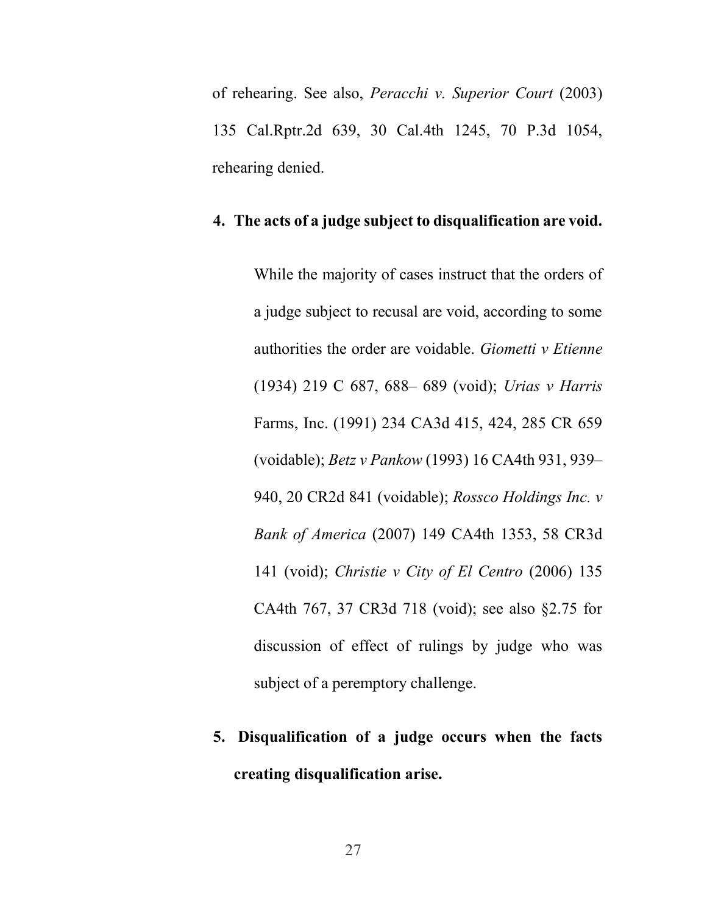of rehearing. See also, Peracchi v. Superior Court (2003) 135 Cal.Rptr.2d 639, 30 Cal.4th 1245, 70 P.3d 1054, rehearing denied.

#### 4. The acts of a judge subject to disqualification are void.

While the majority of cases instruct that the orders of a judge subject to recusal are void, according to some authorities the order are voidable. Giometti v Etienne (1934) 219 C 687, 688– 689 (void); Urias v Harris Farms, Inc. (1991) 234 CA3d 415, 424, 285 CR 659 (voidable); Betz v Pankow (1993) 16 CA4th 931, 939– 940, 20 CR2d 841 (voidable); Rossco Holdings Inc. v Bank of America (2007) 149 CA4th 1353, 58 CR3d 141 (void); Christie v City of El Centro  $(2006)$  135 CA4th 767, 37 CR3d 718 (void); see also §2.75 for discussion of effect of rulings by judge who was subject of a peremptory challenge.

## 5. Disqualification of a judge occurs when the facts creating disqualification arise.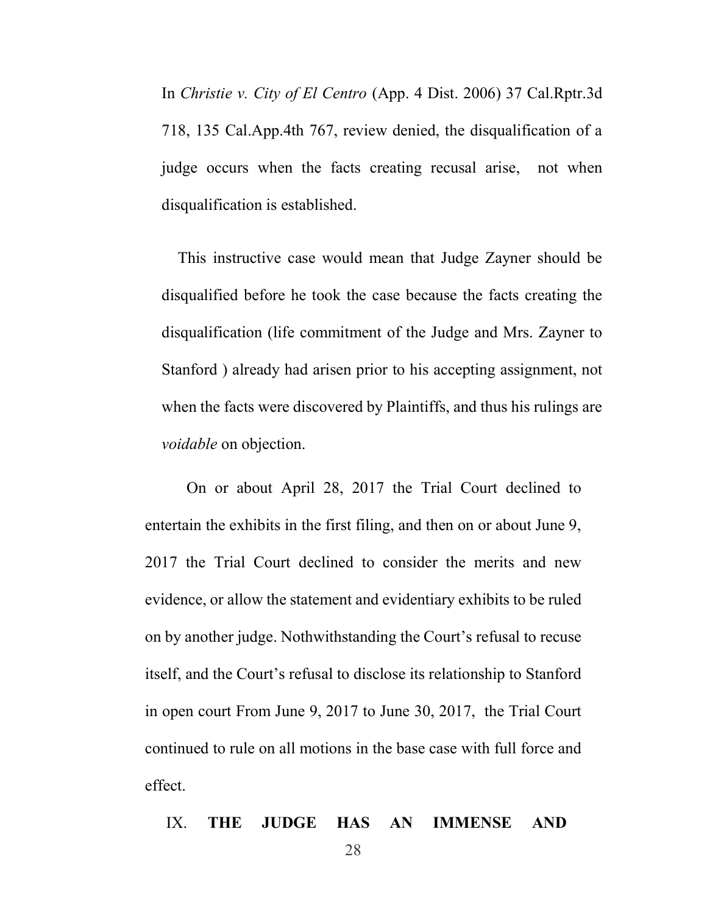In Christie v. City of El Centro (App. 4 Dist. 2006) 37 Cal.Rptr.3d 718, 135 Cal.App.4th 767, review denied, the disqualification of a judge occurs when the facts creating recusal arise, not when disqualification is established.

This instructive case would mean that Judge Zayner should be disqualified before he took the case because the facts creating the disqualification (life commitment of the Judge and Mrs. Zayner to Stanford ) already had arisen prior to his accepting assignment, not when the facts were discovered by Plaintiffs, and thus his rulings are voidable on objection.

On or about April 28, 2017 the Trial Court declined to entertain the exhibits in the first filing, and then on or about June 9, 2017 the Trial Court declined to consider the merits and new evidence, or allow the statement and evidentiary exhibits to be ruled on by another judge. Nothwithstanding the Court's refusal to recuse itself, and the Court's refusal to disclose its relationship to Stanford in open court From June 9, 2017 to June 30, 2017, the Trial Court continued to rule on all motions in the base case with full force and effect.

#### IX. THE JUDGE HAS AN IMMENSE AND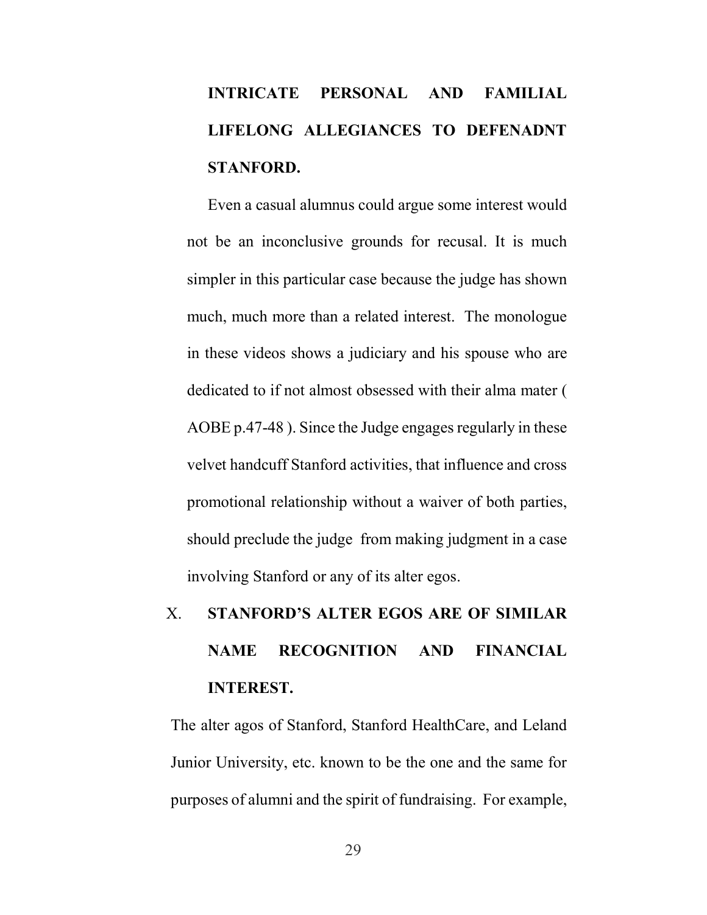# INTRICATE PERSONAL AND FAMILIAL LIFELONG ALLEGIANCES TO DEFENADNT STANFORD.

Even a casual alumnus could argue some interest would not be an inconclusive grounds for recusal. It is much simpler in this particular case because the judge has shown much, much more than a related interest. The monologue in these videos shows a judiciary and his spouse who are dedicated to if not almost obsessed with their alma mater ( AOBE p.47-48 ). Since the Judge engages regularly in these velvet handcuff Stanford activities, that influence and cross promotional relationship without a waiver of both parties, should preclude the judge from making judgment in a case involving Stanford or any of its alter egos.

# X. STANFORD'S ALTER EGOS ARE OF SIMILAR NAME RECOGNITION AND FINANCIAL INTEREST.

The alter agos of Stanford, Stanford HealthCare, and Leland Junior University, etc. known to be the one and the same for purposes of alumni and the spirit of fundraising. For example,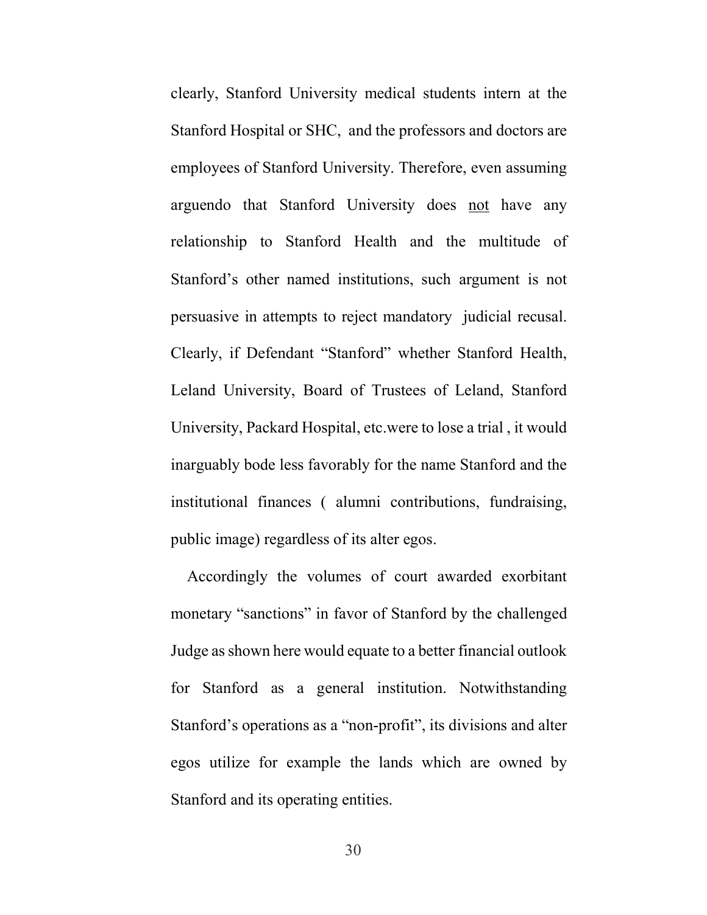clearly, Stanford University medical students intern at the Stanford Hospital or SHC, and the professors and doctors are employees of Stanford University. Therefore, even assuming arguendo that Stanford University does not have any relationship to Stanford Health and the multitude of Stanford's other named institutions, such argument is not persuasive in attempts to reject mandatory judicial recusal. Clearly, if Defendant "Stanford" whether Stanford Health, Leland University, Board of Trustees of Leland, Stanford University, Packard Hospital, etc.were to lose a trial , it would inarguably bode less favorably for the name Stanford and the institutional finances ( alumni contributions, fundraising, public image) regardless of its alter egos.

Accordingly the volumes of court awarded exorbitant monetary "sanctions" in favor of Stanford by the challenged Judge as shown here would equate to a better financial outlook for Stanford as a general institution. Notwithstanding Stanford's operations as a "non-profit", its divisions and alter egos utilize for example the lands which are owned by Stanford and its operating entities.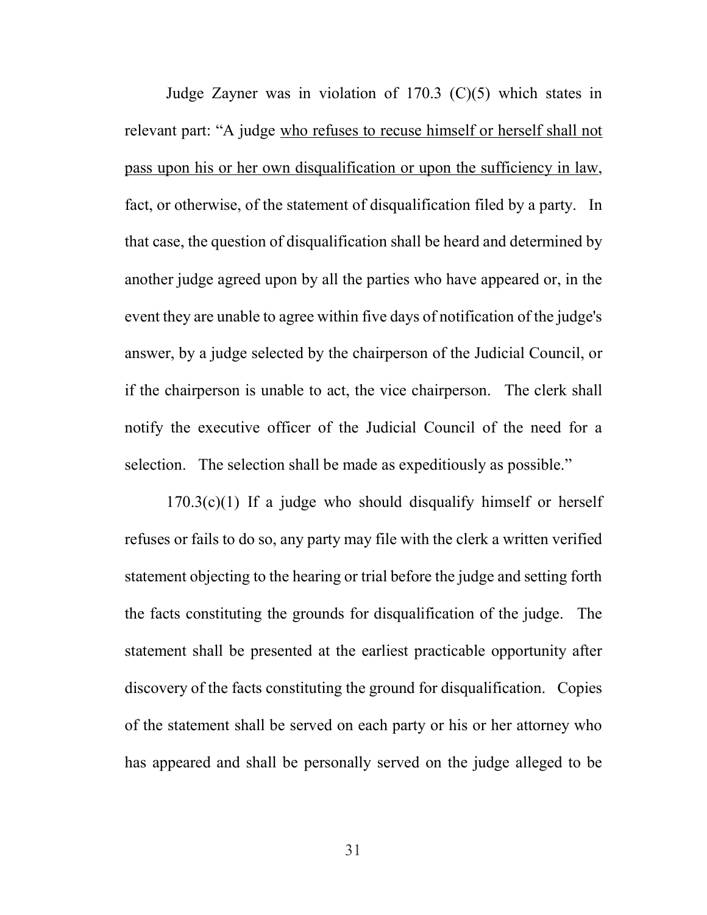Judge Zayner was in violation of 170.3 (C)(5) which states in relevant part: "A judge who refuses to recuse himself or herself shall not pass upon his or her own disqualification or upon the sufficiency in law, fact, or otherwise, of the statement of disqualification filed by a party. In that case, the question of disqualification shall be heard and determined by another judge agreed upon by all the parties who have appeared or, in the event they are unable to agree within five days of notification of the judge's answer, by a judge selected by the chairperson of the Judicial Council, or if the chairperson is unable to act, the vice chairperson. The clerk shall notify the executive officer of the Judicial Council of the need for a selection. The selection shall be made as expeditiously as possible."

 $170.3(c)(1)$  If a judge who should disqualify himself or herself refuses or fails to do so, any party may file with the clerk a written verified statement objecting to the hearing or trial before the judge and setting forth the facts constituting the grounds for disqualification of the judge. The statement shall be presented at the earliest practicable opportunity after discovery of the facts constituting the ground for disqualification. Copies of the statement shall be served on each party or his or her attorney who has appeared and shall be personally served on the judge alleged to be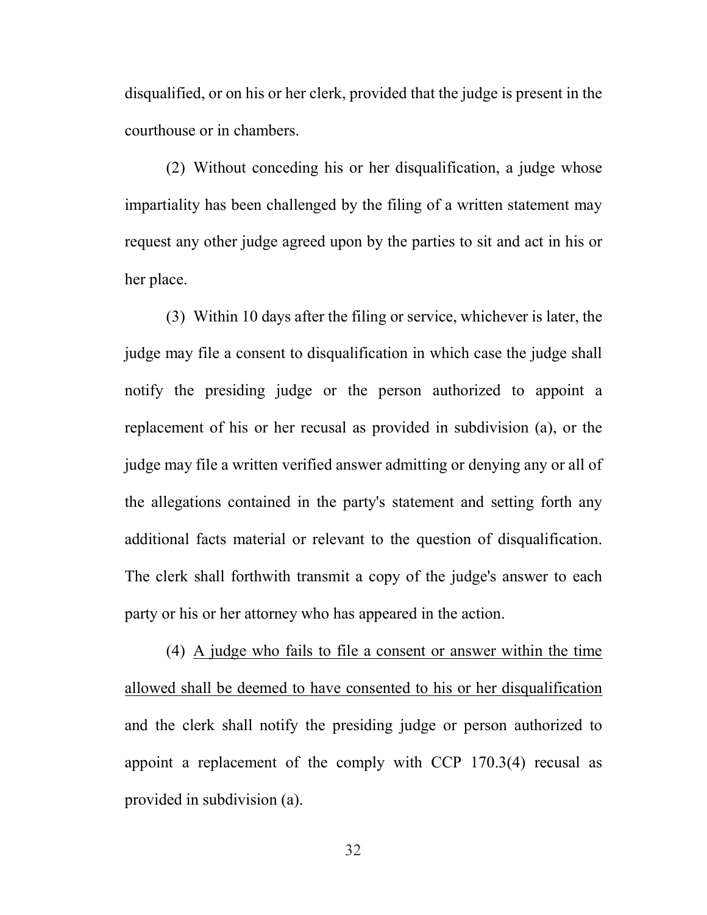disqualified, or on his or her clerk, provided that the judge is present in the courthouse or in chambers.

(2) Without conceding his or her disqualification, a judge whose impartiality has been challenged by the filing of a written statement may request any other judge agreed upon by the parties to sit and act in his or her place.

(3) Within 10 days after the filing or service, whichever is later, the judge may file a consent to disqualification in which case the judge shall notify the presiding judge or the person authorized to appoint a replacement of his or her recusal as provided in subdivision (a), or the judge may file a written verified answer admitting or denying any or all of the allegations contained in the party's statement and setting forth any additional facts material or relevant to the question of disqualification. The clerk shall forthwith transmit a copy of the judge's answer to each party or his or her attorney who has appeared in the action.

(4) A judge who fails to file a consent or answer within the time allowed shall be deemed to have consented to his or her disqualification and the clerk shall notify the presiding judge or person authorized to appoint a replacement of the comply with CCP 170.3(4) recusal as provided in subdivision (a).

32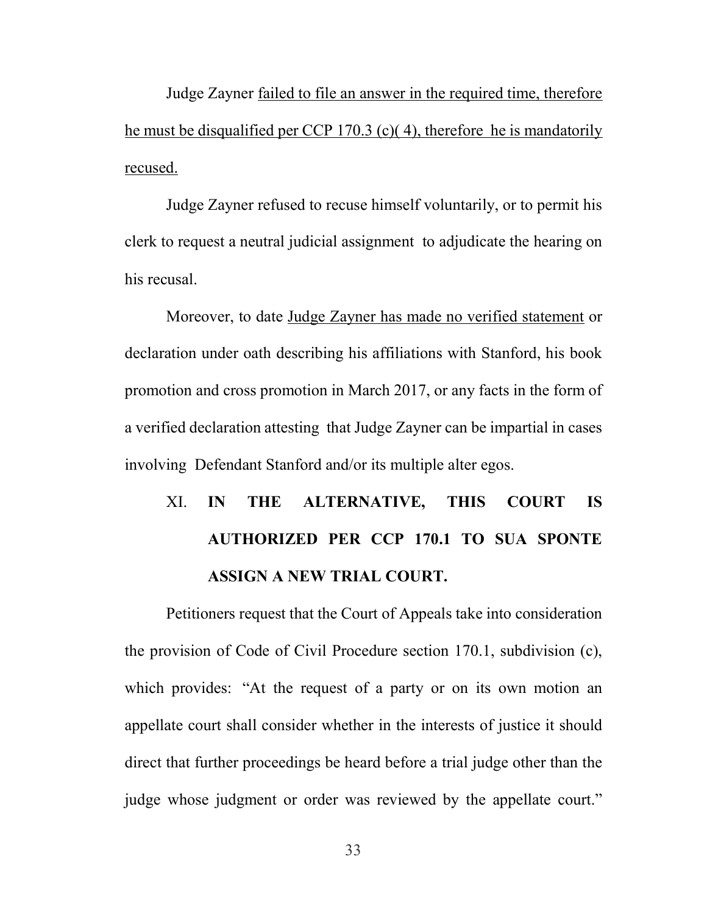Judge Zayner failed to file an answer in the required time, therefore he must be disqualified per CCP 170.3 (c)( 4), therefore he is mandatorily recused.

Judge Zayner refused to recuse himself voluntarily, or to permit his clerk to request a neutral judicial assignment to adjudicate the hearing on his recusal.

Moreover, to date Judge Zayner has made no verified statement or declaration under oath describing his affiliations with Stanford, his book promotion and cross promotion in March 2017, or any facts in the form of a verified declaration attesting that Judge Zayner can be impartial in cases involving Defendant Stanford and/or its multiple alter egos.

# XI. IN THE ALTERNATIVE, THIS COURT IS AUTHORIZED PER CCP 170.1 TO SUA SPONTE ASSIGN A NEW TRIAL COURT.

Petitioners request that the Court of Appeals take into consideration the provision of Code of Civil Procedure section 170.1, subdivision (c), which provides: "At the request of a party or on its own motion an appellate court shall consider whether in the interests of justice it should direct that further proceedings be heard before a trial judge other than the judge whose judgment or order was reviewed by the appellate court."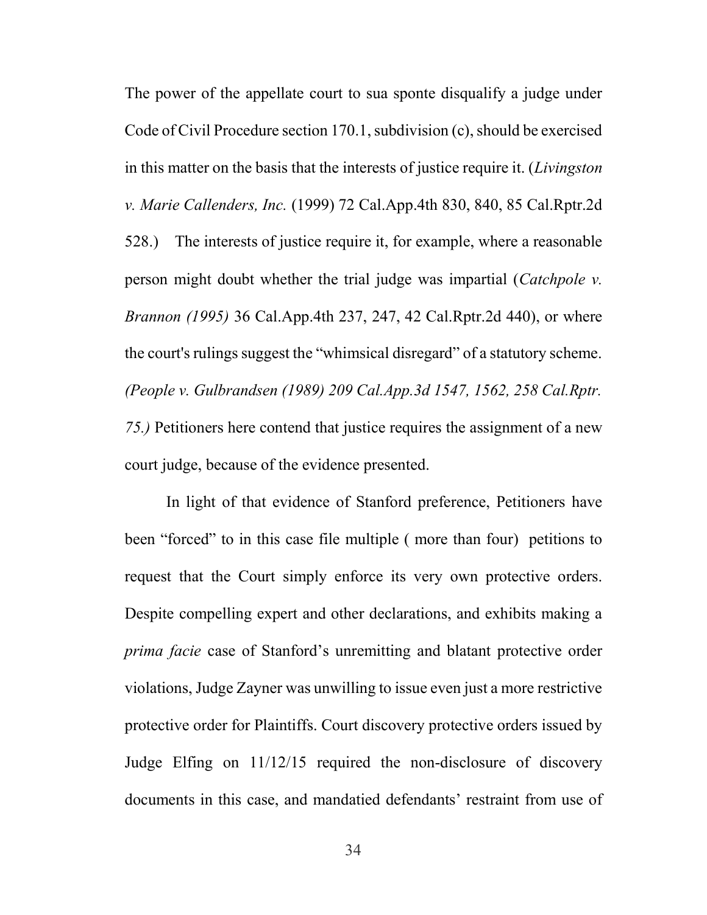The power of the appellate court to sua sponte disqualify a judge under Code of Civil Procedure section 170.1, subdivision (c), should be exercised in this matter on the basis that the interests of justice require it. (Livingston v. Marie Callenders, Inc. (1999) 72 Cal.App.4th 830, 840, 85 Cal.Rptr.2d 528.) The interests of justice require it, for example, where a reasonable person might doubt whether the trial judge was impartial (*Catchpole v.* Brannon (1995) 36 Cal.App.4th 237, 247, 42 Cal.Rptr.2d 440), or where the court's rulings suggest the "whimsical disregard" of a statutory scheme. (People v. Gulbrandsen (1989) 209 Cal.App.3d 1547, 1562, 258 Cal.Rptr. 75.) Petitioners here contend that justice requires the assignment of a new court judge, because of the evidence presented.

In light of that evidence of Stanford preference, Petitioners have been "forced" to in this case file multiple ( more than four) petitions to request that the Court simply enforce its very own protective orders. Despite compelling expert and other declarations, and exhibits making a prima facie case of Stanford's unremitting and blatant protective order violations, Judge Zayner was unwilling to issue even just a more restrictive protective order for Plaintiffs. Court discovery protective orders issued by Judge Elfing on 11/12/15 required the non-disclosure of discovery documents in this case, and mandatied defendants' restraint from use of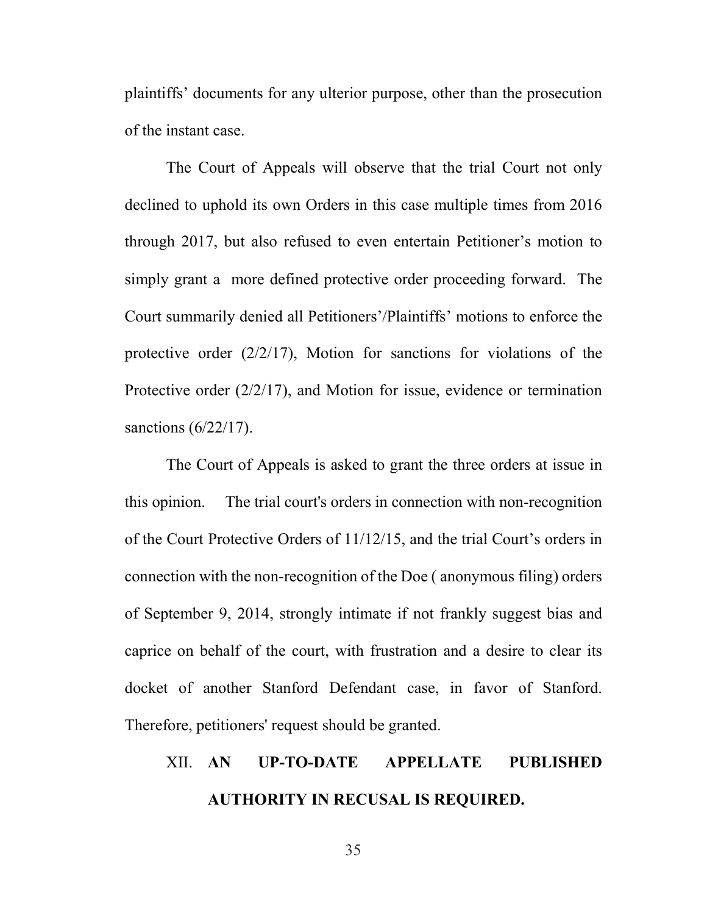plaintiffs' documents for any ulterior purpose, other than the prosecution of the instant case.

The Court of Appeals will observe that the trial Court not only declined to uphold its own Orders in this case multiple times from 2016 through 2017, but also refused to even entertain Petitioner's motion to simply grant a more defined protective order proceeding forward. The Court summarily denied all Petitioners'/Plaintiffs' motions to enforce the protective order (2/2/17), Motion for sanctions for violations of the Protective order (2/2/17), and Motion for issue, evidence or termination sanctions (6/22/17).

The Court of Appeals is asked to grant the three orders at issue in this opinion. The trial court's orders in connection with non-recognition of the Court Protective Orders of 11/12/15, and the trial Court's orders in connection with the non-recognition of the Doe ( anonymous filing) orders of September 9, 2014, strongly intimate if not frankly suggest bias and caprice on behalf of the court, with frustration and a desire to clear its docket of another Stanford Defendant case, in favor of Stanford. Therefore, petitioners' request should be granted.

### XII. AN UP-TO-DATE APPELLATE PUBLISHED AUTHORITY IN RECUSAL IS REQUIRED.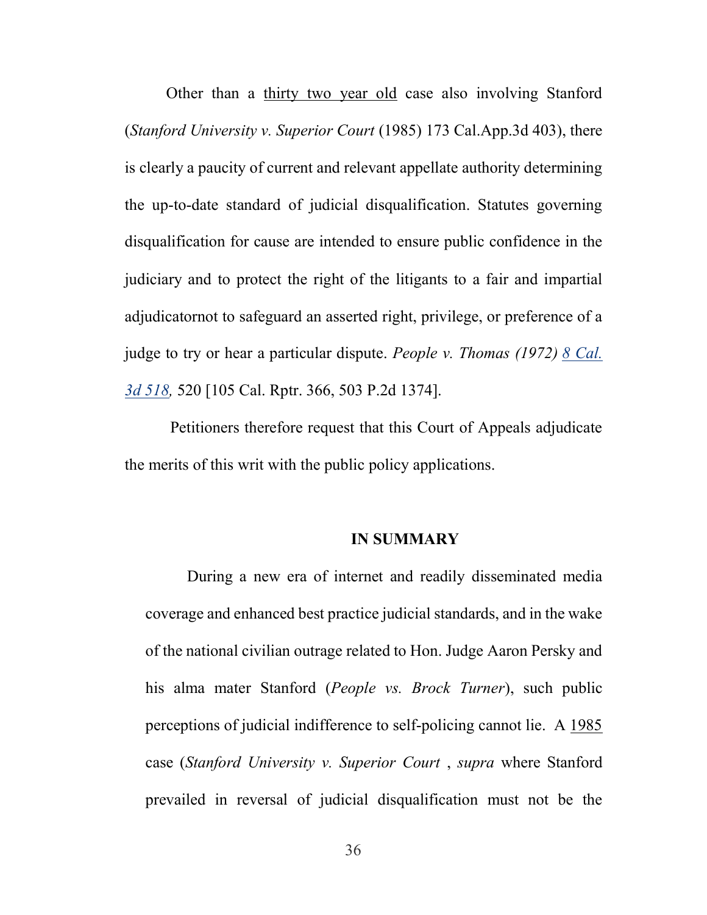Other than a thirty two year old case also involving Stanford (Stanford University v. Superior Court (1985) 173 Cal.App.3d 403), there is clearly a paucity of current and relevant appellate authority determining the up-to-date standard of judicial disqualification. Statutes governing disqualification for cause are intended to ensure public confidence in the judiciary and to protect the right of the litigants to a fair and impartial adjudicatornot to safeguard an asserted right, privilege, or preference of a judge to try or hear a particular dispute. People v. Thomas (1972) 8 Cal. 3d 518, 520 [105 Cal. Rptr. 366, 503 P.2d 1374].

 Petitioners therefore request that this Court of Appeals adjudicate the merits of this writ with the public policy applications.

#### IN SUMMARY

 During a new era of internet and readily disseminated media coverage and enhanced best practice judicial standards, and in the wake of the national civilian outrage related to Hon. Judge Aaron Persky and his alma mater Stanford (People vs. Brock Turner), such public perceptions of judicial indifference to self-policing cannot lie. A 1985 case (Stanford University v. Superior Court , supra where Stanford prevailed in reversal of judicial disqualification must not be the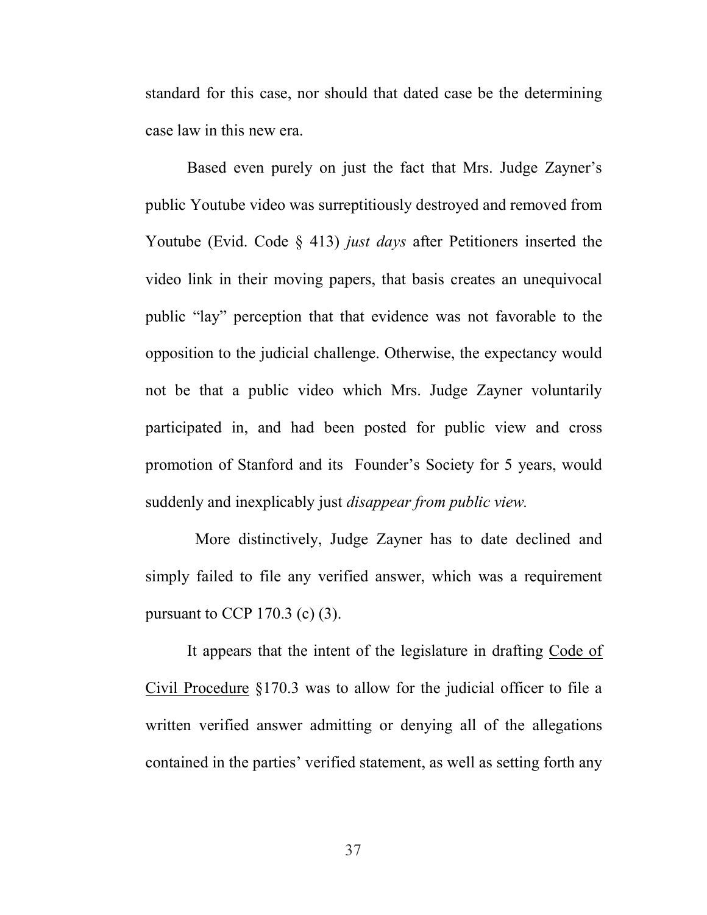standard for this case, nor should that dated case be the determining case law in this new era.

Based even purely on just the fact that Mrs. Judge Zayner's public Youtube video was surreptitiously destroyed and removed from Youtube (Evid. Code  $\S$  413) *just days* after Petitioners inserted the video link in their moving papers, that basis creates an unequivocal public "lay" perception that that evidence was not favorable to the opposition to the judicial challenge. Otherwise, the expectancy would not be that a public video which Mrs. Judge Zayner voluntarily participated in, and had been posted for public view and cross promotion of Stanford and its Founder's Society for 5 years, would suddenly and inexplicably just *disappear from public view*.

 More distinctively, Judge Zayner has to date declined and simply failed to file any verified answer, which was a requirement pursuant to CCP 170.3 (c)  $(3)$ .

It appears that the intent of the legislature in drafting Code of Civil Procedure §170.3 was to allow for the judicial officer to file a written verified answer admitting or denying all of the allegations contained in the parties' verified statement, as well as setting forth any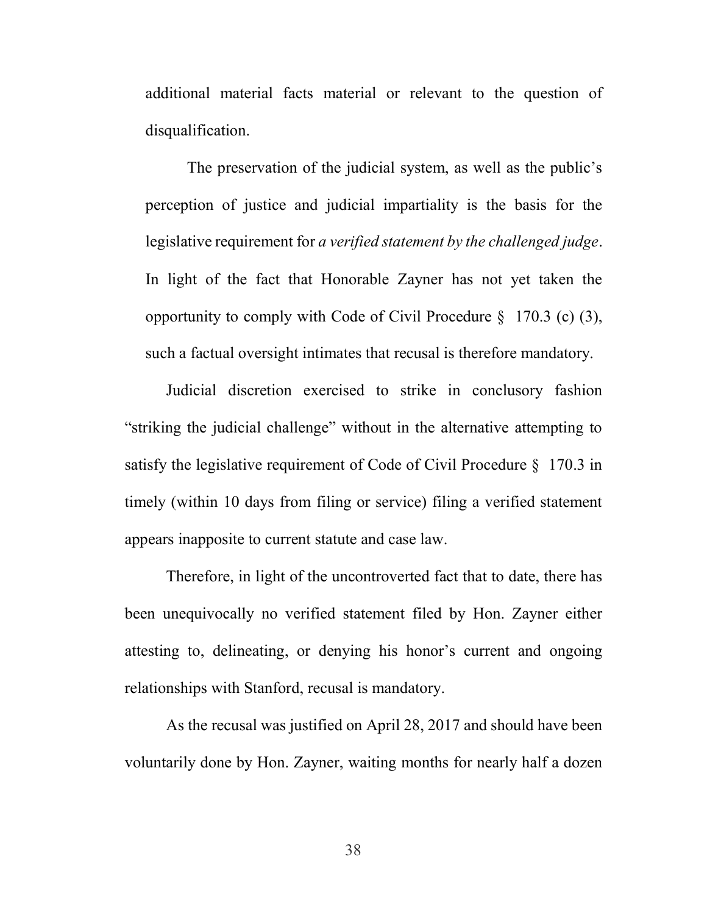additional material facts material or relevant to the question of disqualification.

The preservation of the judicial system, as well as the public's perception of justice and judicial impartiality is the basis for the legislative requirement for a verified statement by the challenged judge. In light of the fact that Honorable Zayner has not yet taken the opportunity to comply with Code of Civil Procedure § 170.3 (c) (3), such a factual oversight intimates that recusal is therefore mandatory.

Judicial discretion exercised to strike in conclusory fashion "striking the judicial challenge" without in the alternative attempting to satisfy the legislative requirement of Code of Civil Procedure § 170.3 in timely (within 10 days from filing or service) filing a verified statement appears inapposite to current statute and case law.

Therefore, in light of the uncontroverted fact that to date, there has been unequivocally no verified statement filed by Hon. Zayner either attesting to, delineating, or denying his honor's current and ongoing relationships with Stanford, recusal is mandatory.

As the recusal was justified on April 28, 2017 and should have been voluntarily done by Hon. Zayner, waiting months for nearly half a dozen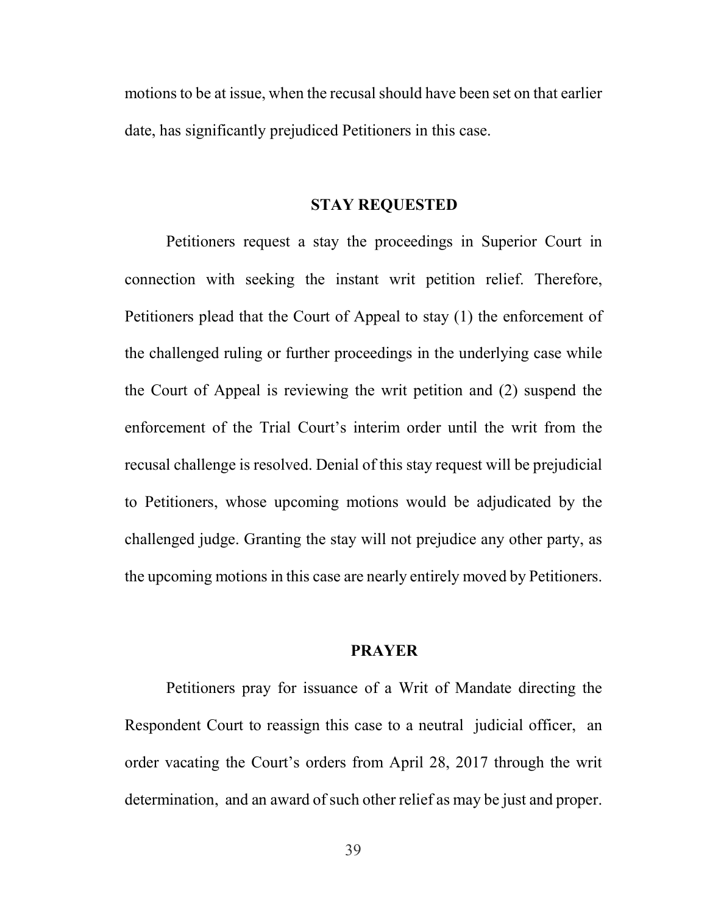motions to be at issue, when the recusal should have been set on that earlier date, has significantly prejudiced Petitioners in this case.

#### STAY REQUESTED

Petitioners request a stay the proceedings in Superior Court in connection with seeking the instant writ petition relief. Therefore, Petitioners plead that the Court of Appeal to stay (1) the enforcement of the challenged ruling or further proceedings in the underlying case while the Court of Appeal is reviewing the writ petition and (2) suspend the enforcement of the Trial Court's interim order until the writ from the recusal challenge is resolved. Denial of this stay request will be prejudicial to Petitioners, whose upcoming motions would be adjudicated by the challenged judge. Granting the stay will not prejudice any other party, as the upcoming motions in this case are nearly entirely moved by Petitioners.

#### PRAYER

Petitioners pray for issuance of a Writ of Mandate directing the Respondent Court to reassign this case to a neutral judicial officer, an order vacating the Court's orders from April 28, 2017 through the writ determination, and an award of such other relief as may be just and proper.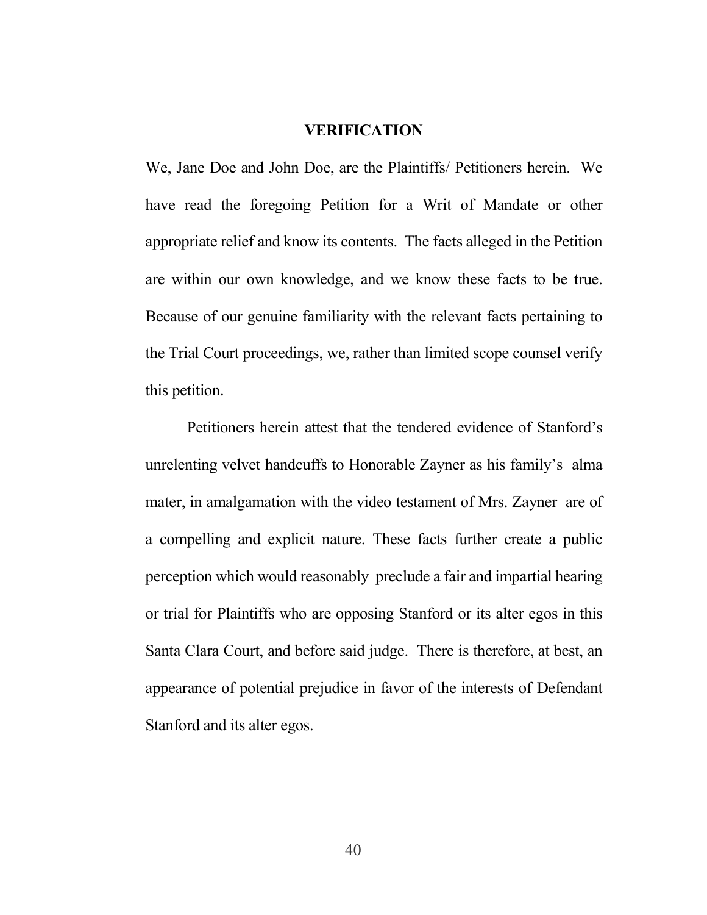#### VERIFICATION

We, Jane Doe and John Doe, are the Plaintiffs/ Petitioners herein. We have read the foregoing Petition for a Writ of Mandate or other appropriate relief and know its contents. The facts alleged in the Petition are within our own knowledge, and we know these facts to be true. Because of our genuine familiarity with the relevant facts pertaining to the Trial Court proceedings, we, rather than limited scope counsel verify this petition.

Petitioners herein attest that the tendered evidence of Stanford's unrelenting velvet handcuffs to Honorable Zayner as his family's alma mater, in amalgamation with the video testament of Mrs. Zayner are of a compelling and explicit nature. These facts further create a public perception which would reasonably preclude a fair and impartial hearing or trial for Plaintiffs who are opposing Stanford or its alter egos in this Santa Clara Court, and before said judge. There is therefore, at best, an appearance of potential prejudice in favor of the interests of Defendant Stanford and its alter egos.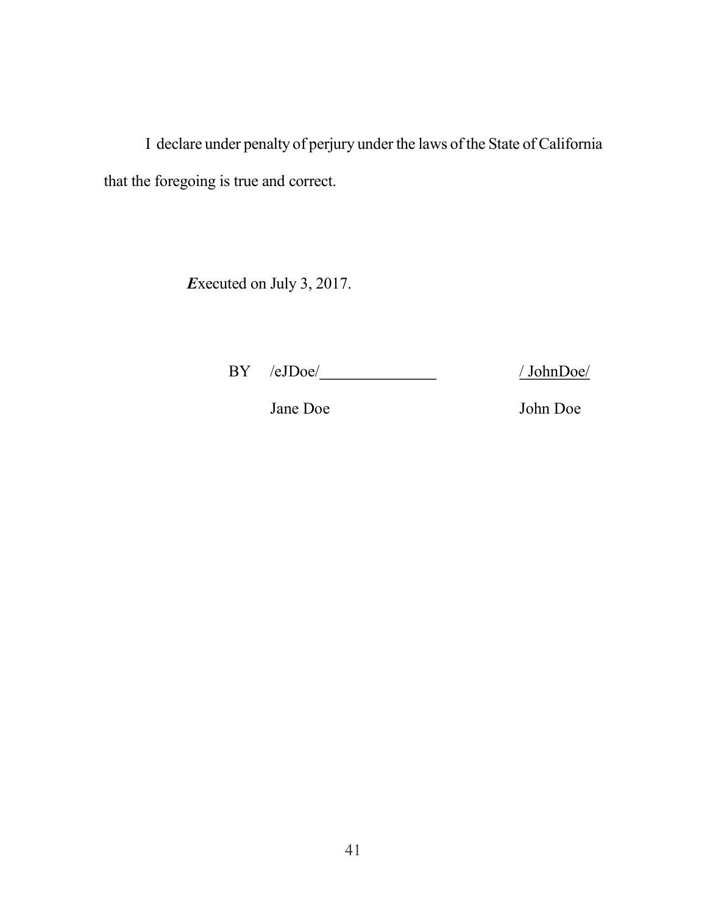I declare under penalty of perjury under the laws of the State of California that the foregoing is true and correct.

Executed on July 3, 2017.

BY /eJDoe/ / / JohnDoe/

Jane Doe John Doe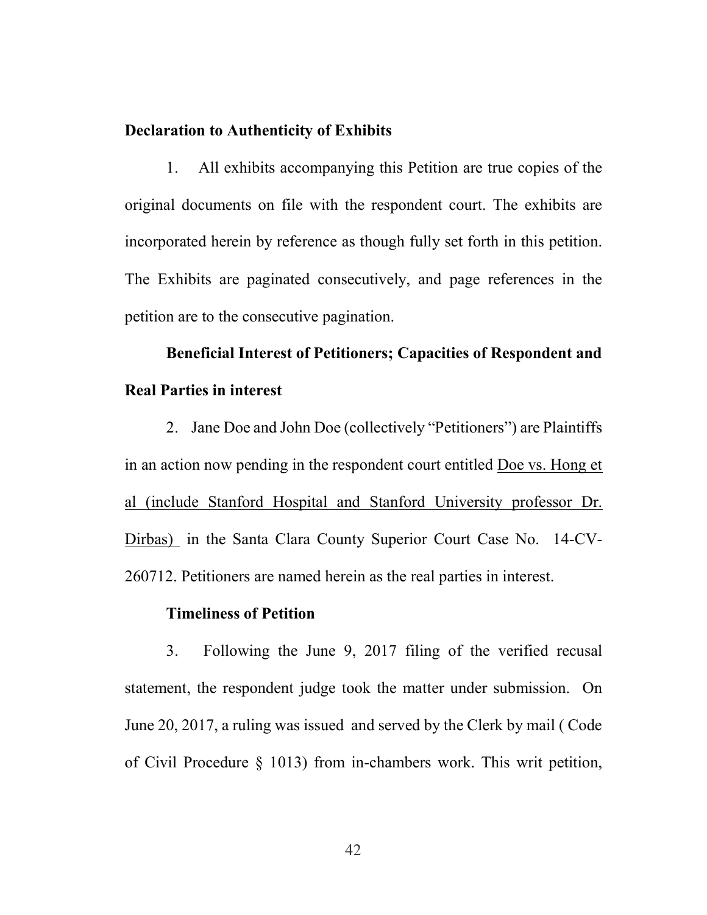#### Declaration to Authenticity of Exhibits

1. All exhibits accompanying this Petition are true copies of the original documents on file with the respondent court. The exhibits are incorporated herein by reference as though fully set forth in this petition. The Exhibits are paginated consecutively, and page references in the petition are to the consecutive pagination.

## Beneficial Interest of Petitioners; Capacities of Respondent and Real Parties in interest

2. Jane Doe and John Doe (collectively "Petitioners") are Plaintiffs in an action now pending in the respondent court entitled Doe vs. Hong et al (include Stanford Hospital and Stanford University professor Dr. Dirbas) in the Santa Clara County Superior Court Case No. 14-CV-260712. Petitioners are named herein as the real parties in interest.

#### Timeliness of Petition

3. Following the June 9, 2017 filing of the verified recusal statement, the respondent judge took the matter under submission. On June 20, 2017, a ruling was issued and served by the Clerk by mail ( Code of Civil Procedure § 1013) from in-chambers work. This writ petition,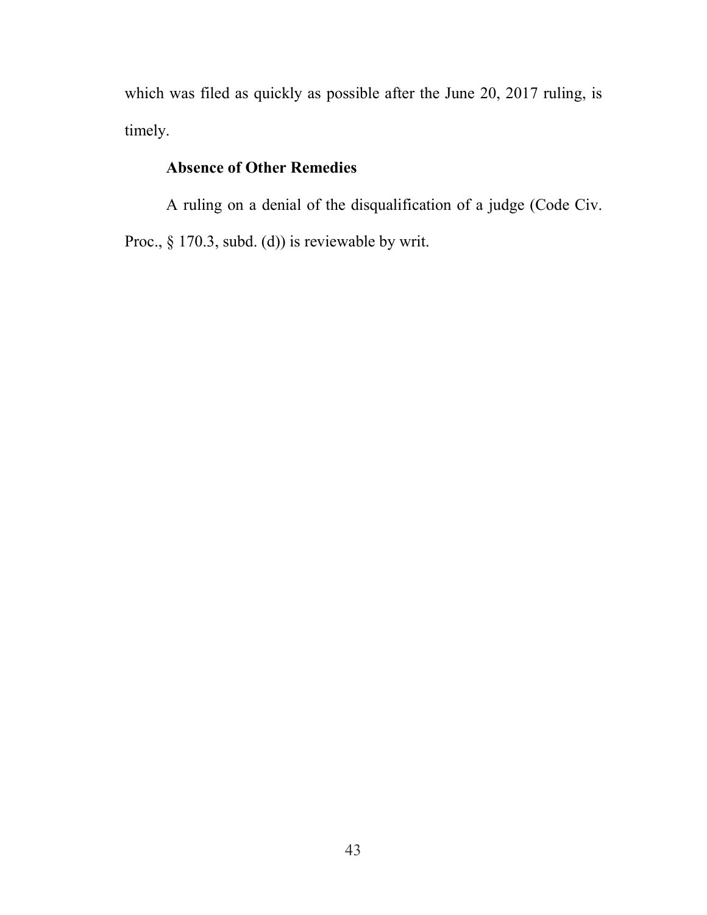which was filed as quickly as possible after the June 20, 2017 ruling, is timely.

### Absence of Other Remedies

A ruling on a denial of the disqualification of a judge (Code Civ. Proc., § 170.3, subd. (d)) is reviewable by writ.